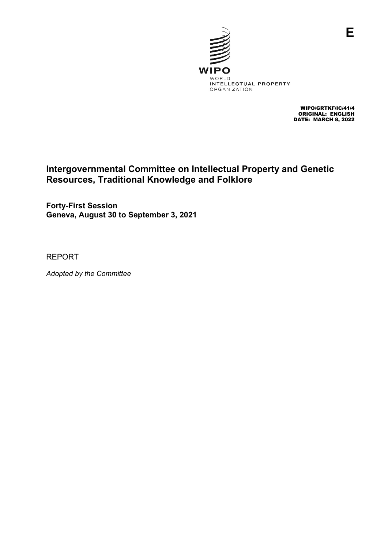

WIPO/GRTKF/IC/41/4 ORIGINAL: ENGLISH DATE: MARCH 8, 2022

# **Intergovernmental Committee on Intellectual Property and Genetic Resources, Traditional Knowledge and Folklore**

**Forty-First Session Geneva, August 30 to September 3, 2021**

REPORT

*Adopted by the Committee*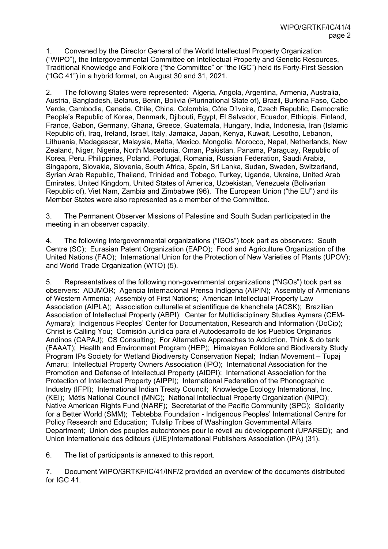1. Convened by the Director General of the World Intellectual Property Organization ("WIPO"), the Intergovernmental Committee on Intellectual Property and Genetic Resources, Traditional Knowledge and Folklore ("the Committee" or "the IGC") held its Forty-First Session ("IGC 41") in a hybrid format, on August 30 and 31, 2021.

2. The following States were represented: Algeria, Angola, Argentina, Armenia, Australia, Austria, Bangladesh, Belarus, Benin, Bolivia (Plurinational State of), Brazil, Burkina Faso, Cabo Verde, Cambodia, Canada, Chile, China, Colombia, Côte D'Ivoire, Czech Republic, Democratic People's Republic of Korea, Denmark, Djibouti, Egypt, El Salvador, Ecuador, Ethiopia, Finland, France, Gabon, Germany, Ghana, Greece, Guatemala, Hungary, India, Indonesia, Iran (Islamic Republic of), Iraq, Ireland, Israel, Italy, Jamaica, Japan, Kenya, Kuwait, Lesotho, Lebanon, Lithuania, Madagascar, Malaysia, Malta, Mexico, Mongolia, Morocco, Nepal, Netherlands, New Zealand, Niger, Nigeria, North Macedonia, Oman, Pakistan, Panama, Paraguay, Republic of Korea, Peru, Philippines, Poland, Portugal, Romania, Russian Federation, Saudi Arabia, Singapore, Slovakia, Slovenia, South Africa, Spain, Sri Lanka, Sudan, Sweden, Switzerland, Syrian Arab Republic, Thailand, Trinidad and Tobago, Turkey, Uganda, Ukraine, United Arab Emirates, United Kingdom, United States of America, Uzbekistan, Venezuela (Bolivarian Republic of), Viet Nam, Zambia and Zimbabwe (96). The European Union ("the EU") and its Member States were also represented as a member of the Committee.

3. The Permanent Observer Missions of Palestine and South Sudan participated in the meeting in an observer capacity.

4. The following intergovernmental organizations ("IGOs") took part as observers: South Centre (SC); Eurasian Patent Organization (EAPO); Food and Agriculture Organization of the United Nations (FAO); International Union for the Protection of New Varieties of Plants (UPOV); and World Trade Organization (WTO) (5).

5. Representatives of the following non-governmental organizations ("NGOs") took part as observers: ADJMOR; Agencia Internacional Prensa Indígena (AIPIN); Assembly of Armenians of Western Armenia; Assembly of First Nations; American Intellectual Property Law Association (AIPLA); Association culturelle et scientifique de khenchela (ACSK); Brazilian Association of Intellectual Property (ABPI); Center for Multidisciplinary Studies Aymara (CEM-Aymara); Indigenous Peoples' Center for Documentation, Research and Information (DoCip); Christ is Calling You; Comisión Jurídica para el Autodesarrollo de los Pueblos Originarios Andinos (CAPAJ); CS Consulting; For Alternative Approaches to Addiction, Think & do tank (FAAAT); Health and Environment Program (HEP); Himalayan Folklore and Biodiversity Study Program IPs Society for Wetland Biodiversity Conservation Nepal; Indian Movement – Tupaj Amaru; Intellectual Property Owners Association (IPO); International Association for the Promotion and Defense of Intellectual Property (AIDPI); International Association for the Protection of Intellectual Property (AIPPI); International Federation of the Phonographic Industry (IFPI); International Indian Treaty Council; Knowledge Ecology International, Inc. (KEI); Métis National Council (MNC); National Intellectual Property Organization (NIPO); Native American Rights Fund (NARF); Secretariat of the Pacific Community (SPC); Solidarity for a Better World (SMM); Tebtebba Foundation - Indigenous Peoples' International Centre for Policy Research and Education; Tulalip Tribes of Washington Governmental Affairs Department; Union des peuples autochtones pour le réveil au développement (UPARED); and Union internationale des éditeurs (UIE)/International Publishers Association (IPA) (31).

6. The list of participants is annexed to this report.

7. Document WIPO/GRTKF/IC/41/INF/2 provided an overview of the documents distributed for IGC 41.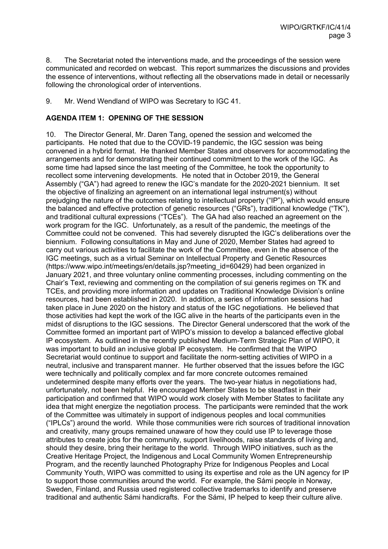8. The Secretariat noted the interventions made, and the proceedings of the session were communicated and recorded on webcast. This report summarizes the discussions and provides the essence of interventions, without reflecting all the observations made in detail or necessarily following the chronological order of interventions.

9. Mr. Wend Wendland of WIPO was Secretary to IGC 41.

### **AGENDA ITEM 1: OPENING OF THE SESSION**

10. The Director General, Mr. Daren Tang, opened the session and welcomed the participants. He noted that due to the COVID-19 pandemic, the IGC session was being convened in a hybrid format. He thanked Member States and observers for accommodating the arrangements and for demonstrating their continued commitment to the work of the IGC. As some time had lapsed since the last meeting of the Committee, he took the opportunity to recollect some intervening developments. He noted that in October 2019, the General Assembly ("GA") had agreed to renew the IGC's mandate for the 2020-2021 biennium. It set the objective of finalizing an agreement on an international legal instrument(s) without prejudging the nature of the outcomes relating to intellectual property ("IP"), which would ensure the balanced and effective protection of genetic resources ("GRs"), traditional knowledge ("TK"), and traditional cultural expressions ("TCEs"). The GA had also reached an agreement on the work program for the IGC. Unfortunately, as a result of the pandemic, the meetings of the Committee could not be convened. This had severely disrupted the IGC's deliberations over the biennium. Following consultations in May and June of 2020, Member States had agreed to carry out various activities to facilitate the work of the Committee, even in the absence of the IGC meetings, such as a virtual Seminar on Intellectual Property and Genetic Resources (https://www.wipo.int/meetings/en/details.jsp?meeting\_id=60429) had been organized in January 2021, and three voluntary online commenting processes, including commenting on the Chair's Text, reviewing and commenting on the compilation of sui generis regimes on TK and TCEs, and providing more information and updates on Traditional Knowledge Division's online resources, had been established in 2020. In addition, a series of information sessions had taken place in June 2020 on the history and status of the IGC negotiations. He believed that those activities had kept the work of the IGC alive in the hearts of the participants even in the midst of disruptions to the IGC sessions. The Director General underscored that the work of the Committee formed an important part of WIPO's mission to develop a balanced effective global IP ecosystem. As outlined in the recently published Medium-Term Strategic Plan of WIPO, it was important to build an inclusive global IP ecosystem. He confirmed that the WIPO Secretariat would continue to support and facilitate the norm-setting activities of WIPO in a neutral, inclusive and transparent manner. He further observed that the issues before the IGC were technically and politically complex and far more concrete outcomes remained undetermined despite many efforts over the years. The two-year hiatus in negotiations had, unfortunately, not been helpful. He encouraged Member States to be steadfast in their participation and confirmed that WIPO would work closely with Member States to facilitate any idea that might energize the negotiation process. The participants were reminded that the work of the Committee was ultimately in support of indigenous peoples and local communities ("IPLCs") around the world. While those communities were rich sources of traditional innovation and creativity, many groups remained unaware of how they could use IP to leverage those attributes to create jobs for the community, support livelihoods, raise standards of living and, should they desire, bring their heritage to the world. Through WIPO initiatives, such as the Creative Heritage Project, the Indigenous and Local Community Women Entrepreneurship Program, and the recently launched Photography Prize for Indigenous Peoples and Local Community Youth, WIPO was committed to using its expertise and role as the UN agency for IP to support those communities around the world. For example, the Sámi people in Norway, Sweden, Finland, and Russia used registered collective trademarks to identify and preserve traditional and authentic Sámi handicrafts. For the Sámi, IP helped to keep their culture alive.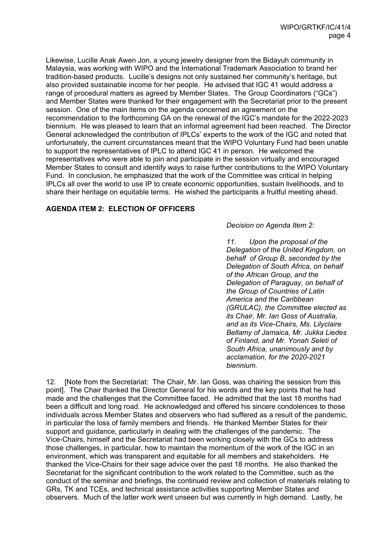Likewise, Lucille Anak Awen Jon, a young jewelry designer from the Bidayuh community in Malaysia, was working with WIPO and the International Trademark Association to brand her tradition-based products. Lucille's designs not only sustained her community's heritage, but also provided sustainable income for her people. He advised that IGC 41 would address a range of procedural matters as agreed by Member States. The Group Coordinators ("GCs") and Member States were thanked for their engagement with the Secretariat prior to the present session. One of the main items on the agenda concerned an agreement on the recommendation to the forthcoming GA on the renewal of the IGC's mandate for the 2022-2023 biennium. He was pleased to learn that an informal agreement had been reached. The Director General acknowledged the contribution of IPLCs' experts to the work of the IGC and noted that unfortunately, the current circumstances meant that the WIPO Voluntary Fund had been unable to support the representatives of IPLC to attend IGC 41 in person. He welcomed the representatives who were able to join and participate in the session virtually and encouraged Member States to consult and identify ways to raise further contributions to the WIPO Voluntary Fund. In conclusion, he emphasized that the work of the Committee was critical in helping IPLCs all over the world to use IP to create economic opportunities, sustain livelihoods, and to share their heritage on equitable terms. He wished the participants a fruitful meeting ahead.

### **AGENDA ITEM 2: ELECTION OF OFFICERS**

*Decision on Agenda Item 2:*

*11. Upon the proposal of the Delegation of the United Kingdom, on behalf of Group B, seconded by the Delegation of South Africa, on behalf of the African Group, and the Delegation of Paraguay, on behalf of the Group of Countries of Latin America and the Caribbean (GRULAC), the Committee elected as its Chair, Mr. Ian Goss of Australia, and as its Vice-Chairs, Ms. Lilyclaire Bellamy of Jamaica, Mr. Jukka Liedes of Finland, and Mr. Yonah Seleti of South Africa, unanimously and by acclamation, for the 2020-2021 biennium.*

12. [Note from the Secretariat: The Chair, Mr. Ian Goss, was chairing the session from this point]. The Chair thanked the Director General for his words and the key points that he had made and the challenges that the Committee faced. He admitted that the last 18 months had been a difficult and long road. He acknowledged and offered his sincere condolences to those individuals across Member States and observers who had suffered as a result of the pandemic, in particular the loss of family members and friends. He thanked Member States for their support and guidance, particularly in dealing with the challenges of the pandemic. The Vice-Chairs, himself and the Secretariat had been working closely with the GCs to address those challenges, in particular, how to maintain the momentum of the work of the IGC in an environment, which was transparent and equitable for all members and stakeholders. He thanked the Vice-Chairs for their sage advice over the past 18 months. He also thanked the Secretariat for the significant contribution to the work related to the Committee, such as the conduct of the seminar and briefings, the continued review and collection of materials relating to GRs, TK and TCEs, and technical assistance activities supporting Member States and observers. Much of the latter work went unseen but was currently in high demand. Lastly, he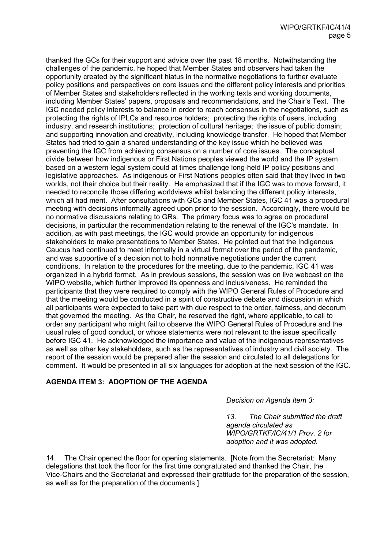thanked the GCs for their support and advice over the past 18 months. Notwithstanding the challenges of the pandemic, he hoped that Member States and observers had taken the opportunity created by the significant hiatus in the normative negotiations to further evaluate policy positions and perspectives on core issues and the different policy interests and priorities of Member States and stakeholders reflected in the working texts and working documents, including Member States' papers, proposals and recommendations, and the Chair's Text. The IGC needed policy interests to balance in order to reach consensus in the negotiations, such as protecting the rights of IPLCs and resource holders; protecting the rights of users, including industry, and research institutions; protection of cultural heritage; the issue of public domain; and supporting innovation and creativity, including knowledge transfer. He hoped that Member States had tried to gain a shared understanding of the key issue which he believed was preventing the IGC from achieving consensus on a number of core issues. The conceptual divide between how indigenous or First Nations peoples viewed the world and the IP system based on a western legal system could at times challenge long-held IP policy positions and legislative approaches. As indigenous or First Nations peoples often said that they lived in two worlds, not their choice but their reality. He emphasized that if the IGC was to move forward, it needed to reconcile those differing worldviews whilst balancing the different policy interests, which all had merit. After consultations with GCs and Member States, IGC 41 was a procedural meeting with decisions informally agreed upon prior to the session. Accordingly, there would be no normative discussions relating to GRs. The primary focus was to agree on procedural decisions, in particular the recommendation relating to the renewal of the IGC's mandate. In addition, as with past meetings, the IGC would provide an opportunity for indigenous stakeholders to make presentations to Member States. He pointed out that the Indigenous Caucus had continued to meet informally in a virtual format over the period of the pandemic, and was supportive of a decision not to hold normative negotiations under the current conditions. In relation to the procedures for the meeting, due to the pandemic, IGC 41 was organized in a hybrid format. As in previous sessions, the session was on live webcast on the WIPO website, which further improved its openness and inclusiveness. He reminded the participants that they were required to comply with the WIPO General Rules of Procedure and that the meeting would be conducted in a spirit of constructive debate and discussion in which all participants were expected to take part with due respect to the order, fairness, and decorum that governed the meeting. As the Chair, he reserved the right, where applicable, to call to order any participant who might fail to observe the WIPO General Rules of Procedure and the usual rules of good conduct, or whose statements were not relevant to the issue specifically before IGC 41. He acknowledged the importance and value of the indigenous representatives as well as other key stakeholders, such as the representatives of industry and civil society. The report of the session would be prepared after the session and circulated to all delegations for comment. It would be presented in all six languages for adoption at the next session of the IGC.

### **AGENDA ITEM 3: ADOPTION OF THE AGENDA**

#### *Decision on Agenda Item 3:*

*13. The Chair submitted the draft agenda circulated as WIPO/GRTKF/IC/41/1 Prov. 2 for adoption and it was adopted.* 

14. The Chair opened the floor for opening statements. [Note from the Secretariat: Many delegations that took the floor for the first time congratulated and thanked the Chair, the Vice-Chairs and the Secretariat and expressed their gratitude for the preparation of the session, as well as for the preparation of the documents.]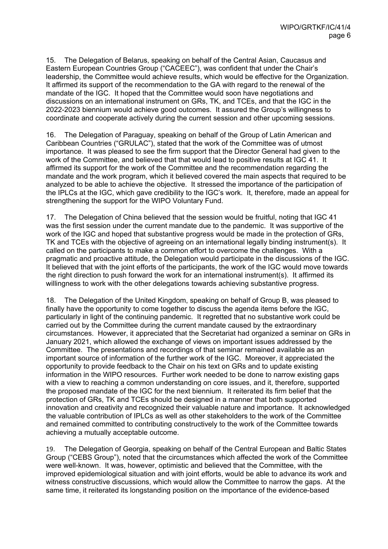15. The Delegation of Belarus, speaking on behalf of the Central Asian, Caucasus and Eastern European Countries Group ("CACEEC"), was confident that under the Chair's leadership, the Committee would achieve results, which would be effective for the Organization. It affirmed its support of the recommendation to the GA with regard to the renewal of the mandate of the IGC. It hoped that the Committee would soon have negotiations and discussions on an international instrument on GRs, TK, and TCEs, and that the IGC in the 2022-2023 biennium would achieve good outcomes. It assured the Group's willingness to coordinate and cooperate actively during the current session and other upcoming sessions.

16. The Delegation of Paraguay, speaking on behalf of the Group of Latin American and Caribbean Countries ("GRULAC"), stated that the work of the Committee was of utmost importance. It was pleased to see the firm support that the Director General had given to the work of the Committee, and believed that that would lead to positive results at IGC 41. It affirmed its support for the work of the Committee and the recommendation regarding the mandate and the work program, which it believed covered the main aspects that required to be analyzed to be able to achieve the objective. It stressed the importance of the participation of the IPLCs at the IGC, which gave credibility to the IGC's work. It, therefore, made an appeal for strengthening the support for the WIPO Voluntary Fund.

17. The Delegation of China believed that the session would be fruitful, noting that IGC 41 was the first session under the current mandate due to the pandemic. It was supportive of the work of the IGC and hoped that substantive progress would be made in the protection of GRs, TK and TCEs with the objective of agreeing on an international legally binding instrument(s). It called on the participants to make a common effort to overcome the challenges. With a pragmatic and proactive attitude, the Delegation would participate in the discussions of the IGC. It believed that with the joint efforts of the participants, the work of the IGC would move towards the right direction to push forward the work for an international instrument(s). It affirmed its willingness to work with the other delegations towards achieving substantive progress.

18. The Delegation of the United Kingdom, speaking on behalf of Group B, was pleased to finally have the opportunity to come together to discuss the agenda items before the IGC, particularly in light of the continuing pandemic. It regretted that no substantive work could be carried out by the Committee during the current mandate caused by the extraordinary circumstances. However, it appreciated that the Secretariat had organized a seminar on GRs in January 2021, which allowed the exchange of views on important issues addressed by the Committee. The presentations and recordings of that seminar remained available as an important source of information of the further work of the IGC. Moreover, it appreciated the opportunity to provide feedback to the Chair on his text on GRs and to update existing information in the WIPO resources. Further work needed to be done to narrow existing gaps with a view to reaching a common understanding on core issues, and it, therefore, supported the proposed mandate of the IGC for the next biennium. It reiterated its firm belief that the protection of GRs, TK and TCEs should be designed in a manner that both supported innovation and creativity and recognized their valuable nature and importance. It acknowledged the valuable contribution of IPLCs as well as other stakeholders to the work of the Committee and remained committed to contributing constructively to the work of the Committee towards achieving a mutually acceptable outcome.

19. The Delegation of Georgia, speaking on behalf of the Central European and Baltic States Group ("CEBS Group"), noted that the circumstances which affected the work of the Committee were well-known. It was, however, optimistic and believed that the Committee, with the improved epidemiological situation and with joint efforts, would be able to advance its work and witness constructive discussions, which would allow the Committee to narrow the gaps. At the same time, it reiterated its longstanding position on the importance of the evidence-based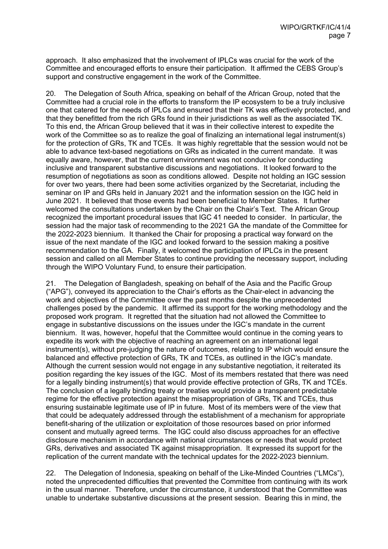approach. It also emphasized that the involvement of IPLCs was crucial for the work of the Committee and encouraged efforts to ensure their participation. It affirmed the CEBS Group's support and constructive engagement in the work of the Committee.

20. The Delegation of South Africa, speaking on behalf of the African Group, noted that the Committee had a crucial role in the efforts to transform the IP ecosystem to be a truly inclusive one that catered for the needs of IPLCs and ensured that their TK was effectively protected, and that they benefitted from the rich GRs found in their jurisdictions as well as the associated TK. To this end, the African Group believed that it was in their collective interest to expedite the work of the Committee so as to realize the goal of finalizing an international legal instrument(s) for the protection of GRs, TK and TCEs. It was highly regrettable that the session would not be able to advance text-based negotiations on GRs as indicated in the current mandate. It was equally aware, however, that the current environment was not conducive for conducting inclusive and transparent substantive discussions and negotiations. It looked forward to the resumption of negotiations as soon as conditions allowed. Despite not holding an IGC session for over two years, there had been some activities organized by the Secretariat, including the seminar on IP and GRs held in January 2021 and the information session on the IGC held in June 2021. It believed that those events had been beneficial to Member States. It further welcomed the consultations undertaken by the Chair on the Chair's Text. The African Group recognized the important procedural issues that IGC 41 needed to consider. In particular, the session had the major task of recommending to the 2021 GA the mandate of the Committee for the 2022-2023 biennium. It thanked the Chair for proposing a practical way forward on the issue of the next mandate of the IGC and looked forward to the session making a positive recommendation to the GA. Finally, it welcomed the participation of IPLCs in the present session and called on all Member States to continue providing the necessary support, including through the WIPO Voluntary Fund, to ensure their participation.

21. The Delegation of Bangladesh, speaking on behalf of the Asia and the Pacific Group ("APG"), conveyed its appreciation to the Chair's efforts as the Chair-elect in advancing the work and objectives of the Committee over the past months despite the unprecedented challenges posed by the pandemic. It affirmed its support for the working methodology and the proposed work program. It regretted that the situation had not allowed the Committee to engage in substantive discussions on the issues under the IGC's mandate in the current biennium. It was, however, hopeful that the Committee would continue in the coming years to expedite its work with the objective of reaching an agreement on an international legal instrument(s), without pre-judging the nature of outcomes, relating to IP which would ensure the balanced and effective protection of GRs, TK and TCEs, as outlined in the IGC's mandate. Although the current session would not engage in any substantive negotiation, it reiterated its position regarding the key issues of the IGC. Most of its members restated that there was need for a legally binding instrument(s) that would provide effective protection of GRs, TK and TCEs. The conclusion of a legally binding treaty or treaties would provide a transparent predictable regime for the effective protection against the misappropriation of GRs, TK and TCEs, thus ensuring sustainable legitimate use of IP in future. Most of its members were of the view that that could be adequately addressed through the establishment of a mechanism for appropriate benefit-sharing of the utilization or exploitation of those resources based on prior informed consent and mutually agreed terms. The IGC could also discuss approaches for an effective disclosure mechanism in accordance with national circumstances or needs that would protect GRs, derivatives and associated TK against misappropriation. It expressed its support for the replication of the current mandate with the technical updates for the 2022-2023 biennium.

22. The Delegation of Indonesia, speaking on behalf of the Like-Minded Countries ("LMCs"), noted the unprecedented difficulties that prevented the Committee from continuing with its work in the usual manner. Therefore, under the circumstance, it understood that the Committee was unable to undertake substantive discussions at the present session. Bearing this in mind, the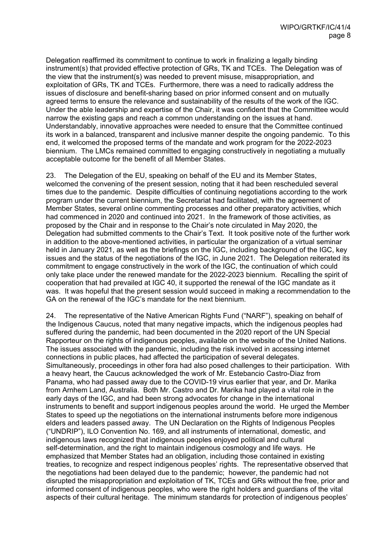Delegation reaffirmed its commitment to continue to work in finalizing a legally binding instrument(s) that provided effective protection of GRs, TK and TCEs. The Delegation was of the view that the instrument(s) was needed to prevent misuse, misappropriation, and exploitation of GRs, TK and TCEs. Furthermore, there was a need to radically address the issues of disclosure and benefit-sharing based on prior informed consent and on mutually agreed terms to ensure the relevance and sustainability of the results of the work of the IGC. Under the able leadership and expertise of the Chair, it was confident that the Committee would narrow the existing gaps and reach a common understanding on the issues at hand. Understandably, innovative approaches were needed to ensure that the Committee continued its work in a balanced, transparent and inclusive manner despite the ongoing pandemic. To this end, it welcomed the proposed terms of the mandate and work program for the 2022-2023 biennium. The LMCs remained committed to engaging constructively in negotiating a mutually acceptable outcome for the benefit of all Member States.

23. The Delegation of the EU, speaking on behalf of the EU and its Member States, welcomed the convening of the present session, noting that it had been rescheduled several times due to the pandemic. Despite difficulties of continuing negotiations according to the work program under the current biennium, the Secretariat had facilitated, with the agreement of Member States, several online commenting processes and other preparatory activities, which had commenced in 2020 and continued into 2021. In the framework of those activities, as proposed by the Chair and in response to the Chair's note circulated in May 2020, the Delegation had submitted comments to the Chair's Text. It took positive note of the further work in addition to the above-mentioned activities, in particular the organization of a virtual seminar held in January 2021, as well as the briefings on the IGC, including background of the IGC, key issues and the status of the negotiations of the IGC, in June 2021. The Delegation reiterated its commitment to engage constructively in the work of the IGC, the continuation of which could only take place under the renewed mandate for the 2022-2023 biennium. Recalling the spirit of cooperation that had prevailed at IGC 40, it supported the renewal of the IGC mandate as it was. It was hopeful that the present session would succeed in making a recommendation to the GA on the renewal of the IGC's mandate for the next biennium.

24. The representative of the Native American Rights Fund ("NARF"), speaking on behalf of the Indigenous Caucus, noted that many negative impacts, which the indigenous peoples had suffered during the pandemic, had been documented in the 2020 report of the UN Special Rapporteur on the rights of indigenous peoples, available on the website of the United Nations. The issues associated with the pandemic, including the risk involved in accessing internet connections in public places, had affected the participation of several delegates. Simultaneously, proceedings in other fora had also posed challenges to their participation. With a heavy heart, the Caucus acknowledged the work of Mr. Estebancio Castro-Diaz from Panama, who had passed away due to the COVID-19 virus earlier that year, and Dr. Marika from Arnhem Land, Australia. Both Mr. Castro and Dr. Marika had played a vital role in the early days of the IGC, and had been strong advocates for change in the international instruments to benefit and support indigenous peoples around the world. He urged the Member States to speed up the negotiations on the international instruments before more indigenous elders and leaders passed away. The UN Declaration on the Rights of Indigenous Peoples ("UNDRIP"), ILO Convention No. 169, and all instruments of international, domestic, and indigenous laws recognized that indigenous peoples enjoyed political and cultural self-determination, and the right to maintain indigenous cosmology and life ways. He emphasized that Member States had an obligation, including those contained in existing treaties, to recognize and respect indigenous peoples' rights. The representative observed that the negotiations had been delayed due to the pandemic; however, the pandemic had not disrupted the misappropriation and exploitation of TK, TCEs and GRs without the free, prior and informed consent of indigenous peoples, who were the right holders and guardians of the vital aspects of their cultural heritage. The minimum standards for protection of indigenous peoples'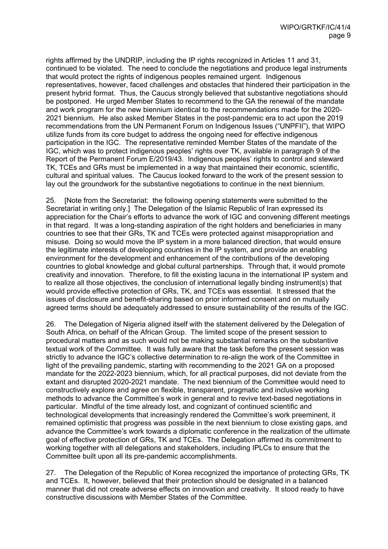rights affirmed by the UNDRIP, including the IP rights recognized in Articles 11 and 31, continued to be violated. The need to conclude the negotiations and produce legal instruments that would protect the rights of indigenous peoples remained urgent. Indigenous representatives, however, faced challenges and obstacles that hindered their participation in the present hybrid format. Thus, the Caucus strongly believed that substantive negotiations should be postponed. He urged Member States to recommend to the GA the renewal of the mandate and work program for the new biennium identical to the recommendations made for the 2020- 2021 biennium. He also asked Member States in the post-pandemic era to act upon the 2019 recommendations from the UN Permanent Forum on Indigenous Issues ("UNPFII"), that WIPO utilize funds from its core budget to address the ongoing need for effective indigenous participation in the IGC. The representative reminded Member States of the mandate of the IGC, which was to protect indigenous peoples' rights over TK, available in paragraph 9 of the Report of the Permanent Forum E/2019/43. Indigenous peoples' rights to control and steward TK, TCEs and GRs must be implemented in a way that maintained their economic, scientific, cultural and spiritual values. The Caucus looked forward to the work of the present session to lay out the groundwork for the substantive negotiations to continue in the next biennium.

25. [Note from the Secretariat: the following opening statements were submitted to the Secretariat in writing only.] The Delegation of the Islamic Republic of Iran expressed its appreciation for the Chair's efforts to advance the work of IGC and convening different meetings in that regard. It was a long-standing aspiration of the right holders and beneficiaries in many countries to see that their GRs, TK and TCEs were protected against misappropriation and misuse. Doing so would move the IP system in a more balanced direction, that would ensure the legitimate interests of developing countries in the IP system, and provide an enabling environment for the development and enhancement of the contributions of the developing countries to global knowledge and global cultural partnerships. Through that, it would promote creativity and innovation. Therefore, to fill the existing lacuna in the international IP system and to realize all those objectives, the conclusion of international legally binding instrument(s) that would provide effective protection of GRs, TK, and TCEs was essential. It stressed that the issues of disclosure and benefit-sharing based on prior informed consent and on mutually agreed terms should be adequately addressed to ensure sustainability of the results of the IGC.

26. The Delegation of Nigeria aligned itself with the statement delivered by the Delegation of South Africa, on behalf of the African Group. The limited scope of the present session to procedural matters and as such would not be making substantial remarks on the substantive textual work of the Committee. It was fully aware that the task before the present session was strictly to advance the IGC's collective determination to re-align the work of the Committee in light of the prevailing pandemic, starting with recommending to the 2021 GA on a proposed mandate for the 2022-2023 biennium, which, for all practical purposes, did not deviate from the extant and disrupted 2020-2021 mandate. The next biennium of the Committee would need to constructively explore and agree on flexible, transparent, pragmatic and inclusive working methods to advance the Committee's work in general and to revive text-based negotiations in particular. Mindful of the time already lost, and cognizant of continued scientific and technological developments that increasingly rendered the Committee's work preeminent, it remained optimistic that progress was possible in the next biennium to close existing gaps, and advance the Committee's work towards a diplomatic conference in the realization of the ultimate goal of effective protection of GRs, TK and TCEs. The Delegation affirmed its commitment to working together with all delegations and stakeholders, including IPLCs to ensure that the Committee built upon all its pre-pandemic accomplishments.

27. The Delegation of the Republic of Korea recognized the importance of protecting GRs, TK and TCEs. It, however, believed that their protection should be designated in a balanced manner that did not create adverse effects on innovation and creativity. It stood ready to have constructive discussions with Member States of the Committee.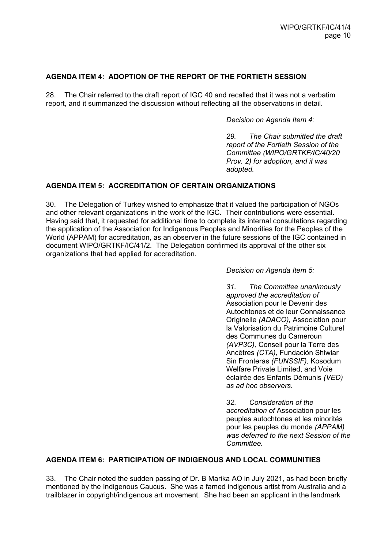### **AGENDA ITEM 4: ADOPTION OF THE REPORT OF THE FORTIETH SESSION**

28. The Chair referred to the draft report of IGC 40 and recalled that it was not a verbatim report, and it summarized the discussion without reflecting all the observations in detail.

*Decision on Agenda Item 4:*

*29. The Chair submitted the draft report of the Fortieth Session of the Committee (WIPO/GRTKF/IC/40/20 Prov. 2) for adoption, and it was adopted.*

### **AGENDA ITEM 5: ACCREDITATION OF CERTAIN ORGANIZATIONS**

30. The Delegation of Turkey wished to emphasize that it valued the participation of NGOs and other relevant organizations in the work of the IGC. Their contributions were essential. Having said that, it requested for additional time to complete its internal consultations regarding the application of the Association for Indigenous Peoples and Minorities for the Peoples of the World (APPAM) for accreditation, as an observer in the future sessions of the IGC contained in document WIPO/GRTKF/IC/41/2. The Delegation confirmed its approval of the other six organizations that had applied for accreditation.

*Decision on Agenda Item 5:*

*31. The Committee unanimously approved the accreditation of*  Association pour le Devenir des Autochtones et de leur Connaissance Originelle *(ADACO),* Association pour la Valorisation du Patrimoine Culturel des Communes du Cameroun *(AVP3C),* Conseil pour la Terre des Ancêtres *(CTA),* Fundación Shiwiar Sin Fronteras *(FUNSSIF),* Kosodum Welfare Private Limited, and Voie éclairée des Enfants Démunis *(VED) as ad hoc observers.* 

*32. Consideration of the accreditation of* Association pour les peuples autochtones et les minorités pour les peuples du monde *(APPAM) was deferred to the next Session of the Committee.*

### **AGENDA ITEM 6: PARTICIPATION OF INDIGENOUS AND LOCAL COMMUNITIES**

33. The Chair noted the sudden passing of Dr. B Marika AO in July 2021, as had been briefly mentioned by the Indigenous Caucus. She was a famed indigenous artist from Australia and a trailblazer in copyright/indigenous art movement. She had been an applicant in the landmark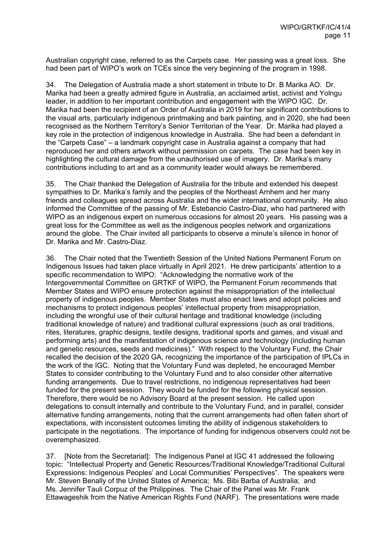Australian copyright case, referred to as the Carpets case. Her passing was a great loss. She had been part of WIPO's work on TCEs since the very beginning of the program in 1998.

34. The Delegation of Australia made a short statement in tribute to Dr. B Marika AO. Dr. Marika had been a greatly admired figure in Australia, an acclaimed artist, activist and Yolngu leader, in addition to her important contribution and engagement with the WIPO IGC. Dr. Marika had been the recipient of an Order of Australia in 2019 for her significant contributions to the visual arts, particularly indigenous printmaking and bark painting, and in 2020, she had been recognised as the Northern Territory's Senior Territorian of the Year. Dr. Marika had played a key role in the protection of indigenous knowledge in Australia. She had been a defendant in the "Carpets Case" – a landmark copyright case in Australia against a company that had reproduced her and others artwork without permission on carpets. The case had been key in highlighting the cultural damage from the unauthorised use of imagery. Dr. Marika's many contributions including to art and as a community leader would always be remembered.

35. The Chair thanked the Delegation of Australia for the tribute and extended his deepest sympathies to Dr. Marika's family and the peoples of the Northeast Arnhem and her many friends and colleagues spread across Australia and the wider international community. He also informed the Committee of the passing of Mr. Estebancio Castro-Diaz, who had partnered with WIPO as an indigenous expert on numerous occasions for almost 20 years. His passing was a great loss for the Committee as well as the indigenous peoples network and organizations around the globe. The Chair invited all participants to observe a minute's silence in honor of Dr. Marika and Mr. Castro-Diaz.

36. The Chair noted that the Twentieth Session of the United Nations Permanent Forum on Indigenous Issues had taken place virtually in April 2021. He drew participants' attention to a specific recommendation to WIPO: "Acknowledging the normative work of the Intergovernmental Committee on GRTKF of WIPO, the Permanent Forum recommends that Member States and WIPO ensure protection against the misappropriation of the intellectual property of indigenous peoples. Member States must also enact laws and adopt policies and mechanisms to protect indigenous peoples' intellectual property from misappropriation, including the wrongful use of their cultural heritage and traditional knowledge (including traditional knowledge of nature) and traditional cultural expressions (such as oral traditions, rites, literatures, graphic designs, textile designs, traditional sports and games, and visual and performing arts) and the manifestation of indigenous science and technology (including human and genetic resources, seeds and medicines)." With respect to the Voluntary Fund, the Chair recalled the decision of the 2020 GA, recognizing the importance of the participation of IPLCs in the work of the IGC. Noting that the Voluntary Fund was depleted, he encouraged Member States to consider contributing to the Voluntary Fund and to also consider other alternative funding arrangements. Due to travel restrictions, no indigenous representatives had been funded for the present session. They would be funded for the following physical session. Therefore, there would be no Advisory Board at the present session. He called upon delegations to consult internally and contribute to the Voluntary Fund, and in parallel, consider alternative funding arrangements, noting that the current arrangements had often fallen short of expectations, with inconsistent outcomes limiting the ability of indigenous stakeholders to participate in the negotiations. The importance of funding for indigenous observers could not be overemphasized.

37. [Note from the Secretariat]: The Indigenous Panel at IGC 41 addressed the following topic: "Intellectual Property and Genetic Resources/Traditional Knowledge/Traditional Cultural Expressions: Indigenous Peoples' and Local Communities' Perspectives". The speakers were Mr. Steven Benally of the United States of America; Ms. Bibi Barba of Australia; and Ms. Jennifer Tauli Corpuz of the Philippines. The Chair of the Panel was Mr. Frank Ettawageshik from the Native American Rights Fund (NARF). The presentations were made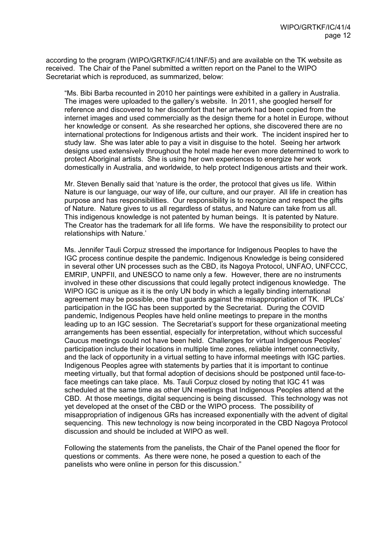according to the program (WIPO/GRTKF/IC/41/INF/5) and are available on the TK website as received. The Chair of the Panel submitted a written report on the Panel to the WIPO Secretariat which is reproduced, as summarized, below:

"Ms. Bibi Barba recounted in 2010 her paintings were exhibited in a gallery in Australia. The images were uploaded to the gallery's website. In 2011, she googled herself for reference and discovered to her discomfort that her artwork had been copied from the internet images and used commercially as the design theme for a hotel in Europe, without her knowledge or consent. As she researched her options, she discovered there are no international protections for Indigenous artists and their work. The incident inspired her to study law. She was later able to pay a visit in disguise to the hotel. Seeing her artwork designs used extensively throughout the hotel made her even more determined to work to protect Aboriginal artists. She is using her own experiences to energize her work domestically in Australia, and worldwide, to help protect Indigenous artists and their work.

Mr. Steven Benally said that 'nature is the order, the protocol that gives us life. Within Nature is our language, our way of life, our culture, and our prayer. All life in creation has purpose and has responsibilities. Our responsibility is to recognize and respect the gifts of Nature. Nature gives to us all regardless of status, and Nature can take from us all. This indigenous knowledge is not patented by human beings. It is patented by Nature. The Creator has the trademark for all life forms. We have the responsibility to protect our relationships with Nature.'

Ms. Jennifer Tauli Corpuz stressed the importance for Indigenous Peoples to have the IGC process continue despite the pandemic. Indigenous Knowledge is being considered in several other UN processes such as the CBD, its Nagoya Protocol, UNFAO, UNFCCC, EMRIP, UNPFII, and UNESCO to name only a few. However, there are no instruments involved in these other discussions that could legally protect indigenous knowledge. The WIPO IGC is unique as it is the only UN body in which a legally binding international agreement may be possible, one that guards against the misappropriation of TK. IPLCs' participation in the IGC has been supported by the Secretariat. During the COVID pandemic, Indigenous Peoples have held online meetings to prepare in the months leading up to an IGC session. The Secretariat's support for these organizational meeting arrangements has been essential, especially for interpretation, without which successful Caucus meetings could not have been held. Challenges for virtual Indigenous Peoples' participation include their locations in multiple time zones, reliable internet connectivity, and the lack of opportunity in a virtual setting to have informal meetings with IGC parties. Indigenous Peoples agree with statements by parties that it is important to continue meeting virtually, but that formal adoption of decisions should be postponed until face-toface meetings can take place. Ms. Tauli Corpuz closed by noting that IGC 41 was scheduled at the same time as other UN meetings that Indigenous Peoples attend at the CBD. At those meetings, digital sequencing is being discussed. This technology was not yet developed at the onset of the CBD or the WIPO process. The possibility of misappropriation of indigenous GRs has increased exponentially with the advent of digital sequencing. This new technology is now being incorporated in the CBD Nagoya Protocol discussion and should be included at WIPO as well.

Following the statements from the panelists, the Chair of the Panel opened the floor for questions or comments. As there were none, he posed a question to each of the panelists who were online in person for this discussion."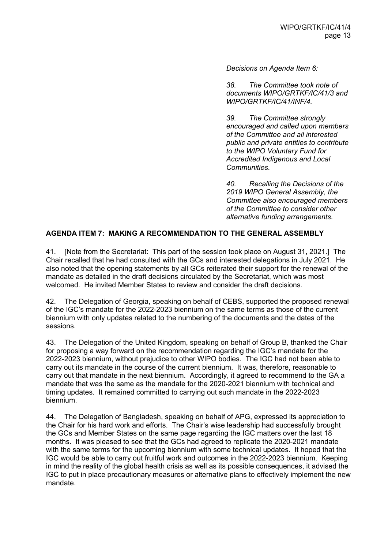*Decisions on Agenda Item 6:*

*38. The Committee took note of documents WIPO/GRTKF/IC/41/3 and WIPO/GRTKF/IC/41/INF/4.* 

*39. The Committee strongly encouraged and called upon members of the Committee and all interested public and private entities to contribute to the WIPO Voluntary Fund for Accredited Indigenous and Local Communities.* 

*40. Recalling the Decisions of the 2019 WIPO General Assembly, the Committee also encouraged members of the Committee to consider other alternative funding arrangements.*

### **AGENDA ITEM 7: MAKING A RECOMMENDATION TO THE GENERAL ASSEMBLY**

41. [Note from the Secretariat: This part of the session took place on August 31, 2021.] The Chair recalled that he had consulted with the GCs and interested delegations in July 2021. He also noted that the opening statements by all GCs reiterated their support for the renewal of the mandate as detailed in the draft decisions circulated by the Secretariat, which was most welcomed. He invited Member States to review and consider the draft decisions.

42. The Delegation of Georgia, speaking on behalf of CEBS, supported the proposed renewal of the IGC's mandate for the 2022-2023 biennium on the same terms as those of the current biennium with only updates related to the numbering of the documents and the dates of the sessions.

43. The Delegation of the United Kingdom, speaking on behalf of Group B, thanked the Chair for proposing a way forward on the recommendation regarding the IGC's mandate for the 2022-2023 biennium, without prejudice to other WIPO bodies. The IGC had not been able to carry out its mandate in the course of the current biennium. It was, therefore, reasonable to carry out that mandate in the next biennium. Accordingly, it agreed to recommend to the GA a mandate that was the same as the mandate for the 2020-2021 biennium with technical and timing updates. It remained committed to carrying out such mandate in the 2022-2023 biennium.

44. The Delegation of Bangladesh, speaking on behalf of APG, expressed its appreciation to the Chair for his hard work and efforts. The Chair's wise leadership had successfully brought the GCs and Member States on the same page regarding the IGC matters over the last 18 months. It was pleased to see that the GCs had agreed to replicate the 2020-2021 mandate with the same terms for the upcoming biennium with some technical updates. It hoped that the IGC would be able to carry out fruitful work and outcomes in the 2022-2023 biennium. Keeping in mind the reality of the global health crisis as well as its possible consequences, it advised the IGC to put in place precautionary measures or alternative plans to effectively implement the new mandate.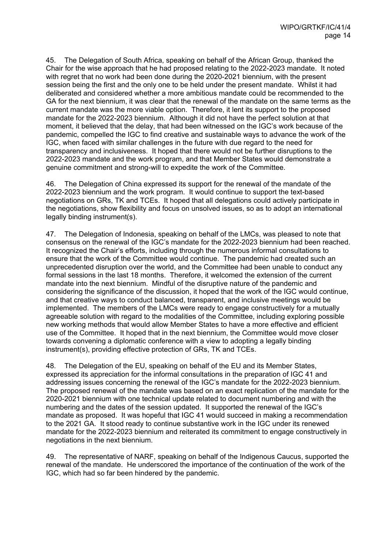45. The Delegation of South Africa, speaking on behalf of the African Group, thanked the Chair for the wise approach that he had proposed relating to the 2022-2023 mandate. It noted with regret that no work had been done during the 2020-2021 biennium, with the present session being the first and the only one to be held under the present mandate. Whilst it had deliberated and considered whether a more ambitious mandate could be recommended to the GA for the next biennium, it was clear that the renewal of the mandate on the same terms as the current mandate was the more viable option. Therefore, it lent its support to the proposed mandate for the 2022-2023 biennium. Although it did not have the perfect solution at that moment, it believed that the delay, that had been witnessed on the IGC's work because of the pandemic, compelled the IGC to find creative and sustainable ways to advance the work of the IGC, when faced with similar challenges in the future with due regard to the need for transparency and inclusiveness. It hoped that there would not be further disruptions to the 2022-2023 mandate and the work program, and that Member States would demonstrate a genuine commitment and strong-will to expedite the work of the Committee.

46. The Delegation of China expressed its support for the renewal of the mandate of the 2022-2023 biennium and the work program. It would continue to support the text-based negotiations on GRs, TK and TCEs. It hoped that all delegations could actively participate in the negotiations, show flexibility and focus on unsolved issues, so as to adopt an international legally binding instrument(s).

47. The Delegation of Indonesia, speaking on behalf of the LMCs, was pleased to note that consensus on the renewal of the IGC's mandate for the 2022-2023 biennium had been reached. It recognized the Chair's efforts, including through the numerous informal consultations to ensure that the work of the Committee would continue. The pandemic had created such an unprecedented disruption over the world, and the Committee had been unable to conduct any formal sessions in the last 18 months. Therefore, it welcomed the extension of the current mandate into the next biennium. Mindful of the disruptive nature of the pandemic and considering the significance of the discussion, it hoped that the work of the IGC would continue, and that creative ways to conduct balanced, transparent, and inclusive meetings would be implemented. The members of the LMCs were ready to engage constructively for a mutually agreeable solution with regard to the modalities of the Committee, including exploring possible new working methods that would allow Member States to have a more effective and efficient use of the Committee. It hoped that in the next biennium, the Committee would move closer towards convening a diplomatic conference with a view to adopting a legally binding instrument(s), providing effective protection of GRs, TK and TCEs.

48. The Delegation of the EU, speaking on behalf of the EU and its Member States, expressed its appreciation for the informal consultations in the preparation of IGC 41 and addressing issues concerning the renewal of the IGC's mandate for the 2022-2023 biennium. The proposed renewal of the mandate was based on an exact replication of the mandate for the 2020-2021 biennium with one technical update related to document numbering and with the numbering and the dates of the session updated. It supported the renewal of the IGC's mandate as proposed. It was hopeful that IGC 41 would succeed in making a recommendation to the 2021 GA. It stood ready to continue substantive work in the IGC under its renewed mandate for the 2022-2023 biennium and reiterated its commitment to engage constructively in negotiations in the next biennium.

49. The representative of NARF, speaking on behalf of the Indigenous Caucus, supported the renewal of the mandate. He underscored the importance of the continuation of the work of the IGC, which had so far been hindered by the pandemic.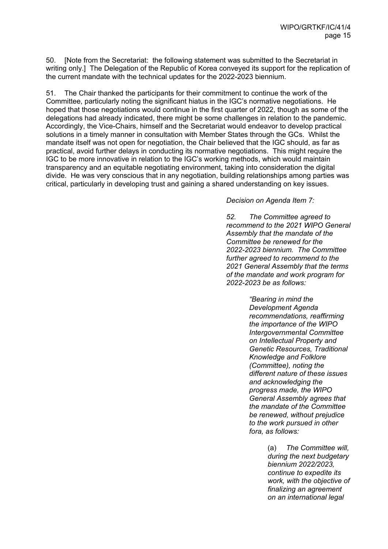50. [Note from the Secretariat: the following statement was submitted to the Secretariat in writing only.] The Delegation of the Republic of Korea conveyed its support for the replication of the current mandate with the technical updates for the 2022-2023 biennium.

51. The Chair thanked the participants for their commitment to continue the work of the Committee, particularly noting the significant hiatus in the IGC's normative negotiations. He hoped that those negotiations would continue in the first quarter of 2022, though as some of the delegations had already indicated, there might be some challenges in relation to the pandemic. Accordingly, the Vice-Chairs, himself and the Secretariat would endeavor to develop practical solutions in a timely manner in consultation with Member States through the GCs. Whilst the mandate itself was not open for negotiation, the Chair believed that the IGC should, as far as practical, avoid further delays in conducting its normative negotiations. This might require the IGC to be more innovative in relation to the IGC's working methods, which would maintain transparency and an equitable negotiating environment, taking into consideration the digital divide. He was very conscious that in any negotiation, building relationships among parties was critical, particularly in developing trust and gaining a shared understanding on key issues.

*Decision on Agenda Item 7:*

*52. The Committee agreed to recommend to the 2021 WIPO General Assembly that the mandate of the Committee be renewed for the 2022-2023 biennium. The Committee further agreed to recommend to the 2021 General Assembly that the terms of the mandate and work program for 2022-2023 be as follows:*

> *"Bearing in mind the Development Agenda recommendations, reaffirming the importance of the WIPO Intergovernmental Committee on Intellectual Property and Genetic Resources, Traditional Knowledge and Folklore (Committee), noting the different nature of these issues and acknowledging the progress made, the WIPO General Assembly agrees that the mandate of the Committee be renewed, without prejudice to the work pursued in other fora, as follows:*

> > (a) *The Committee will, during the next budgetary biennium 2022/2023, continue to expedite its work, with the objective of finalizing an agreement on an international legal*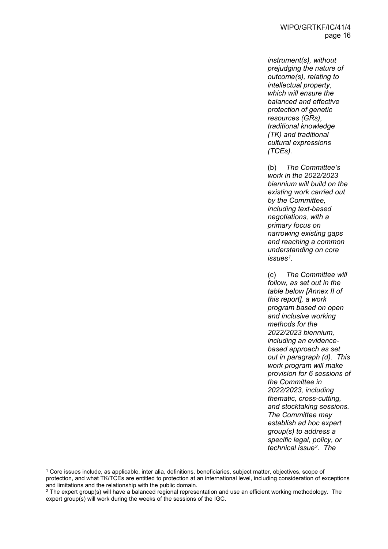*instrument(s), without prejudging the nature of outcome(s), relating to intellectual property, which will ensure the balanced and effective protection of genetic resources (GRs), traditional knowledge (TK) and traditional cultural expressions (TCEs).* 

(b) *The Committee's work in the 2022/2023 biennium will build on the existing work carried out by the Committee, including text-based negotiations, with a primary focus on narrowing existing gaps and reaching a common understanding on core issues[1](#page-15-0).* 

(c) *The Committee will follow, as set out in the table below [Annex II of this report], a work program based on open and inclusive working methods for the 2022/2023 biennium, including an evidencebased approach as set out in paragraph (d). This work program will make provision for 6 sessions of the Committee in 2022/2023, including thematic, cross-cutting, and stocktaking sessions. The Committee may establish ad hoc expert group(s) to address a specific legal, policy, or technical issue[2](#page-15-1). The* 

<span id="page-15-0"></span> <sup>1</sup> Core issues include, as applicable, inter alia, definitions, beneficiaries, subject matter, objectives, scope of protection, and what TK/TCEs are entitled to protection at an international level, including consideration of exceptions and limitations and the relationship with the public domain.

<span id="page-15-1"></span> $2$  The expert group(s) will have a balanced regional representation and use an efficient working methodology. The expert group(s) will work during the weeks of the sessions of the IGC.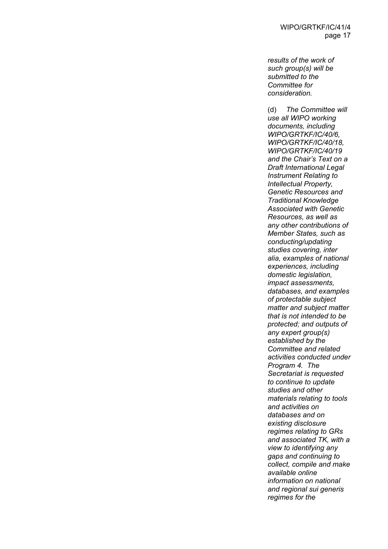*results of the work of such group(s) will be submitted to the Committee for consideration.* 

(d) *The Committee will use all WIPO working documents, including WIPO/GRTKF/IC/40/6, WIPO/GRTKF/IC/40/18, WIPO/GRTKF/IC/40/19 and the Chair's Text on a Draft International Legal Instrument Relating to Intellectual Property, Genetic Resources and Traditional Knowledge Associated with Genetic Resources, as well as any other contributions of Member States, such as conducting/updating studies covering, inter alia, examples of national experiences, including domestic legislation, impact assessments, databases, and examples of protectable subject matter and subject matter that is not intended to be protected; and outputs of any expert group(s) established by the Committee and related activities conducted under Program 4. The Secretariat is requested to continue to update studies and other materials relating to tools and activities on databases and on existing disclosure regimes relating to GRs and associated TK, with a view to identifying any gaps and continuing to collect, compile and make available online information on national and regional sui generis regimes for the*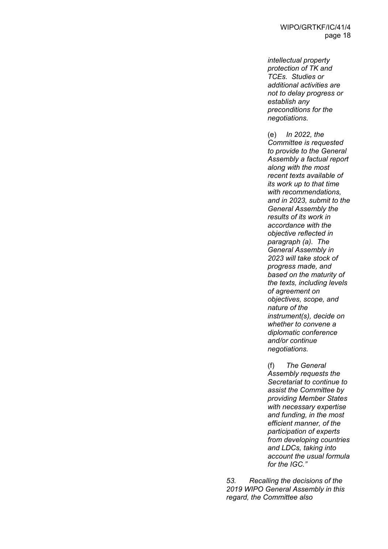*intellectual property protection of TK and TCEs. Studies or additional activities are not to delay progress or establish any preconditions for the negotiations.* 

(e) *In 2022, the Committee is requested to provide to the General Assembly a factual report along with the most recent texts available of its work up to that time with recommendations, and in 2023, submit to the General Assembly the results of its work in accordance with the objective reflected in paragraph (a). The General Assembly in 2023 will take stock of progress made, and based on the maturity of the texts, including levels of agreement on objectives, scope, and nature of the instrument(s), decide on whether to convene a diplomatic conference and/or continue negotiations.* 

(f) *The General Assembly requests the Secretariat to continue to assist the Committee by providing Member States with necessary expertise and funding, in the most efficient manner, of the participation of experts from developing countries and LDCs, taking into account the usual formula for the IGC."*

*53. Recalling the decisions of the 2019 WIPO General Assembly in this regard, the Committee also*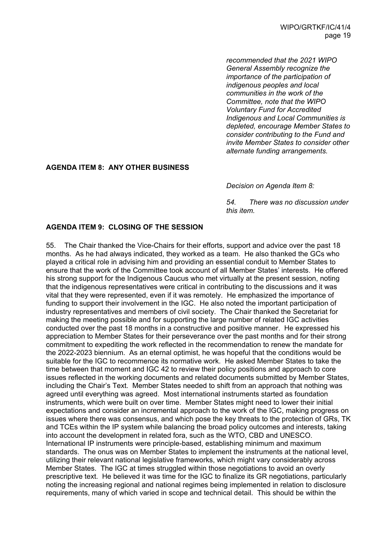*recommended that the 2021 WIPO General Assembly recognize the importance of the participation of indigenous peoples and local communities in the work of the Committee, note that the WIPO Voluntary Fund for Accredited Indigenous and Local Communities is depleted, encourage Member States to consider contributing to the Fund and invite Member States to consider other alternate funding arrangements.*

### **AGENDA ITEM 8: ANY OTHER BUSINESS**

*Decision on Agenda Item 8:* 

*54. There was no discussion under this item.* 

### **AGENDA ITEM 9: CLOSING OF THE SESSION**

55. The Chair thanked the Vice-Chairs for their efforts, support and advice over the past 18 months. As he had always indicated, they worked as a team. He also thanked the GCs who played a critical role in advising him and providing an essential conduit to Member States to ensure that the work of the Committee took account of all Member States' interests. He offered his strong support for the Indigenous Caucus who met virtually at the present session, noting that the indigenous representatives were critical in contributing to the discussions and it was vital that they were represented, even if it was remotely. He emphasized the importance of funding to support their involvement in the IGC. He also noted the important participation of industry representatives and members of civil society. The Chair thanked the Secretariat for making the meeting possible and for supporting the large number of related IGC activities conducted over the past 18 months in a constructive and positive manner. He expressed his appreciation to Member States for their perseverance over the past months and for their strong commitment to expediting the work reflected in the recommendation to renew the mandate for the 2022-2023 biennium. As an eternal optimist, he was hopeful that the conditions would be suitable for the IGC to recommence its normative work. He asked Member States to take the time between that moment and IGC 42 to review their policy positions and approach to core issues reflected in the working documents and related documents submitted by Member States, including the Chair's Text. Member States needed to shift from an approach that nothing was agreed until everything was agreed. Most international instruments started as foundation instruments, which were built on over time. Member States might need to lower their initial expectations and consider an incremental approach to the work of the IGC, making progress on issues where there was consensus, and which pose the key threats to the protection of GRs, TK and TCEs within the IP system while balancing the broad policy outcomes and interests, taking into account the development in related fora, such as the WTO, CBD and UNESCO. International IP instruments were principle-based, establishing minimum and maximum standards. The onus was on Member States to implement the instruments at the national level, utilizing their relevant national legislative frameworks, which might vary considerably across Member States. The IGC at times struggled within those negotiations to avoid an overly prescriptive text. He believed it was time for the IGC to finalize its GR negotiations, particularly noting the increasing regional and national regimes being implemented in relation to disclosure requirements, many of which varied in scope and technical detail. This should be within the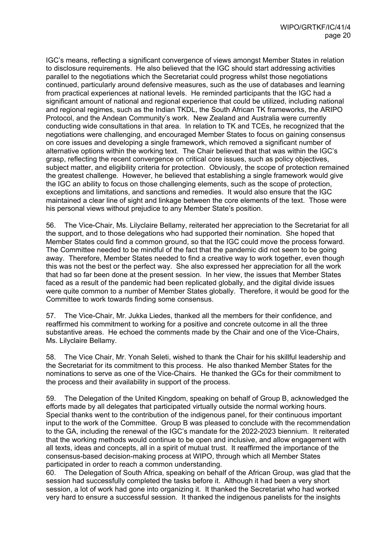IGC's means, reflecting a significant convergence of views amongst Member States in relation to disclosure requirements. He also believed that the IGC should start addressing activities parallel to the negotiations which the Secretariat could progress whilst those negotiations continued, particularly around defensive measures, such as the use of databases and learning from practical experiences at national levels. He reminded participants that the IGC had a significant amount of national and regional experience that could be utilized, including national and regional regimes, such as the Indian TKDL, the South African TK frameworks, the ARIPO Protocol, and the Andean Community's work. New Zealand and Australia were currently conducting wide consultations in that area. In relation to TK and TCEs, he recognized that the negotiations were challenging, and encouraged Member States to focus on gaining consensus on core issues and developing a single framework, which removed a significant number of alternative options within the working text. The Chair believed that that was within the IGC's grasp, reflecting the recent convergence on critical core issues, such as policy objectives, subject matter, and eligibility criteria for protection. Obviously, the scope of protection remained the greatest challenge. However, he believed that establishing a single framework would give the IGC an ability to focus on those challenging elements, such as the scope of protection, exceptions and limitations, and sanctions and remedies. It would also ensure that the IGC maintained a clear line of sight and linkage between the core elements of the text. Those were his personal views without prejudice to any Member State's position.

56. The Vice-Chair, Ms. Lilyclaire Bellamy, reiterated her appreciation to the Secretariat for all the support, and to those delegations who had supported their nomination. She hoped that Member States could find a common ground, so that the IGC could move the process forward. The Committee needed to be mindful of the fact that the pandemic did not seem to be going away. Therefore, Member States needed to find a creative way to work together, even though this was not the best or the perfect way. She also expressed her appreciation for all the work that had so far been done at the present session. In her view, the issues that Member States faced as a result of the pandemic had been replicated globally, and the digital divide issues were quite common to a number of Member States globally. Therefore, it would be good for the Committee to work towards finding some consensus.

57. The Vice-Chair, Mr. Jukka Liedes, thanked all the members for their confidence, and reaffirmed his commitment to working for a positive and concrete outcome in all the three substantive areas. He echoed the comments made by the Chair and one of the Vice-Chairs, Ms. Lilyclaire Bellamy.

58. The Vice Chair, Mr. Yonah Seleti, wished to thank the Chair for his skillful leadership and the Secretariat for its commitment to this process. He also thanked Member States for the nominations to serve as one of the Vice-Chairs. He thanked the GCs for their commitment to the process and their availability in support of the process.

59. The Delegation of the United Kingdom, speaking on behalf of Group B, acknowledged the efforts made by all delegates that participated virtually outside the normal working hours. Special thanks went to the contribution of the indigenous panel, for their continuous important input to the work of the Committee. Group B was pleased to conclude with the recommendation to the GA, including the renewal of the IGC's mandate for the 2022-2023 biennium. It reiterated that the working methods would continue to be open and inclusive, and allow engagement with all texts, ideas and concepts, all in a spirit of mutual trust. It reaffirmed the importance of the consensus-based decision-making process at WIPO, through which all Member States participated in order to reach a common understanding.

60. The Delegation of South Africa, speaking on behalf of the African Group, was glad that the session had successfully completed the tasks before it. Although it had been a very short session, a lot of work had gone into organizing it. It thanked the Secretariat who had worked very hard to ensure a successful session. It thanked the indigenous panelists for the insights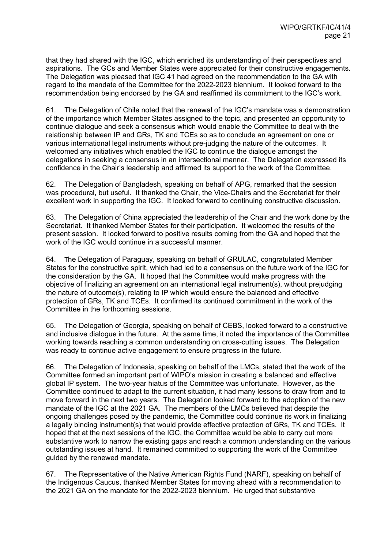that they had shared with the IGC, which enriched its understanding of their perspectives and aspirations. The GCs and Member States were appreciated for their constructive engagements. The Delegation was pleased that IGC 41 had agreed on the recommendation to the GA with regard to the mandate of the Committee for the 2022-2023 biennium. It looked forward to the recommendation being endorsed by the GA and reaffirmed its commitment to the IGC's work.

61. The Delegation of Chile noted that the renewal of the IGC's mandate was a demonstration of the importance which Member States assigned to the topic, and presented an opportunity to continue dialogue and seek a consensus which would enable the Committee to deal with the relationship between IP and GRs, TK and TCEs so as to conclude an agreement on one or various international legal instruments without pre-judging the nature of the outcomes. It welcomed any initiatives which enabled the IGC to continue the dialogue amongst the delegations in seeking a consensus in an intersectional manner. The Delegation expressed its confidence in the Chair's leadership and affirmed its support to the work of the Committee.

62. The Delegation of Bangladesh, speaking on behalf of APG, remarked that the session was procedural, but useful. It thanked the Chair, the Vice-Chairs and the Secretariat for their excellent work in supporting the IGC. It looked forward to continuing constructive discussion.

63. The Delegation of China appreciated the leadership of the Chair and the work done by the Secretariat. It thanked Member States for their participation. It welcomed the results of the present session. It looked forward to positive results coming from the GA and hoped that the work of the IGC would continue in a successful manner.

64. The Delegation of Paraguay, speaking on behalf of GRULAC, congratulated Member States for the constructive spirit, which had led to a consensus on the future work of the IGC for the consideration by the GA. It hoped that the Committee would make progress with the objective of finalizing an agreement on an international legal instrument(s), without prejudging the nature of outcome(s), relating to IP which would ensure the balanced and effective protection of GRs, TK and TCEs. It confirmed its continued commitment in the work of the Committee in the forthcoming sessions.

65. The Delegation of Georgia, speaking on behalf of CEBS, looked forward to a constructive and inclusive dialogue in the future. At the same time, it noted the importance of the Committee working towards reaching a common understanding on cross-cutting issues. The Delegation was ready to continue active engagement to ensure progress in the future.

66. The Delegation of Indonesia, speaking on behalf of the LMCs, stated that the work of the Committee formed an important part of WIPO's mission in creating a balanced and effective global IP system. The two-year hiatus of the Committee was unfortunate. However, as the Committee continued to adapt to the current situation, it had many lessons to draw from and to move forward in the next two years. The Delegation looked forward to the adoption of the new mandate of the IGC at the 2021 GA. The members of the LMCs believed that despite the ongoing challenges posed by the pandemic, the Committee could continue its work in finalizing a legally binding instrument(s) that would provide effective protection of GRs, TK and TCEs. It hoped that at the next sessions of the IGC, the Committee would be able to carry out more substantive work to narrow the existing gaps and reach a common understanding on the various outstanding issues at hand. It remained committed to supporting the work of the Committee guided by the renewed mandate.

67. The Representative of the Native American Rights Fund (NARF), speaking on behalf of the Indigenous Caucus, thanked Member States for moving ahead with a recommendation to the 2021 GA on the mandate for the 2022-2023 biennium. He urged that substantive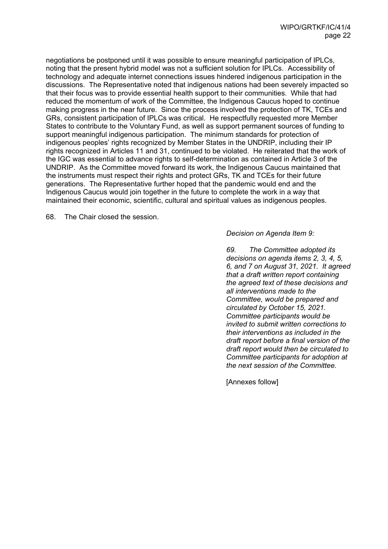negotiations be postponed until it was possible to ensure meaningful participation of IPLCs, noting that the present hybrid model was not a sufficient solution for IPLCs. Accessibility of technology and adequate internet connections issues hindered indigenous participation in the discussions. The Representative noted that indigenous nations had been severely impacted so that their focus was to provide essential health support to their communities. While that had reduced the momentum of work of the Committee, the Indigenous Caucus hoped to continue making progress in the near future. Since the process involved the protection of TK, TCEs and GRs, consistent participation of IPLCs was critical. He respectfully requested more Member States to contribute to the Voluntary Fund, as well as support permanent sources of funding to support meaningful indigenous participation. The minimum standards for protection of indigenous peoples' rights recognized by Member States in the UNDRIP, including their IP rights recognized in Articles 11 and 31, continued to be violated. He reiterated that the work of the IGC was essential to advance rights to self-determination as contained in Article 3 of the UNDRIP. As the Committee moved forward its work, the Indigenous Caucus maintained that the instruments must respect their rights and protect GRs, TK and TCEs for their future generations. The Representative further hoped that the pandemic would end and the Indigenous Caucus would join together in the future to complete the work in a way that maintained their economic, scientific, cultural and spiritual values as indigenous peoples.

68. The Chair closed the session.

*Decision on Agenda Item 9:*

*69. The Committee adopted its decisions on agenda items 2, 3, 4, 5, 6, and 7 on August 31, 2021. It agreed that a draft written report containing the agreed text of these decisions and all interventions made to the Committee, would be prepared and circulated by October 15, 2021. Committee participants would be invited to submit written corrections to their interventions as included in the draft report before a final version of the draft report would then be circulated to Committee participants for adoption at the next session of the Committee.*

[Annexes follow]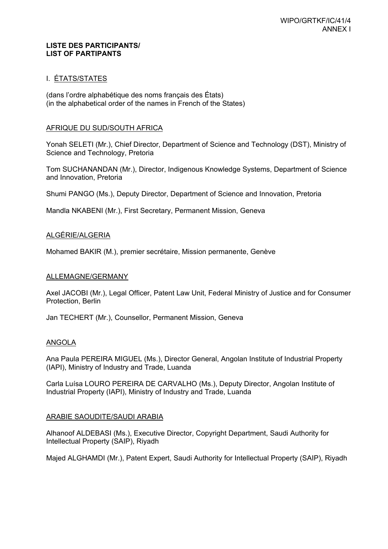#### **LISTE DES PARTICIPANTS/ LIST OF PARTIPANTS**

### I. ÉTATS/STATES

(dans l'ordre alphabétique des noms français des États) (in the alphabetical order of the names in French of the States)

### AFRIQUE DU SUD/SOUTH AFRICA

Yonah SELETI (Mr.), Chief Director, Department of Science and Technology (DST), Ministry of Science and Technology, Pretoria

Tom SUCHANANDAN (Mr.), Director, Indigenous Knowledge Systems, Department of Science and Innovation, Pretoria

Shumi PANGO (Ms.), Deputy Director, Department of Science and Innovation, Pretoria

Mandla NKABENI (Mr.), First Secretary, Permanent Mission, Geneva

### ALGÉRIE/ALGERIA

Mohamed BAKIR (M.), premier secrétaire, Mission permanente, Genève

### ALLEMAGNE/GERMANY

Axel JACOBI (Mr.), Legal Officer, Patent Law Unit, Federal Ministry of Justice and for Consumer Protection, Berlin

Jan TECHERT (Mr.), Counsellor, Permanent Mission, Geneva

### ANGOLA

Ana Paula PEREIRA MIGUEL (Ms.), Director General, Angolan Institute of Industrial Property (IAPI), Ministry of Industry and Trade, Luanda

Carla Luísa LOURO PEREIRA DE CARVALHO (Ms.), Deputy Director, Angolan Institute of Industrial Property (IAPI), Ministry of Industry and Trade, Luanda

### ARABIE SAOUDITE/SAUDI ARABIA

Alhanoof ALDEBASI (Ms.), Executive Director, Copyright Department, Saudi Authority for Intellectual Property (SAIP), Riyadh

Majed ALGHAMDI (Mr.), Patent Expert, Saudi Authority for Intellectual Property (SAIP), Riyadh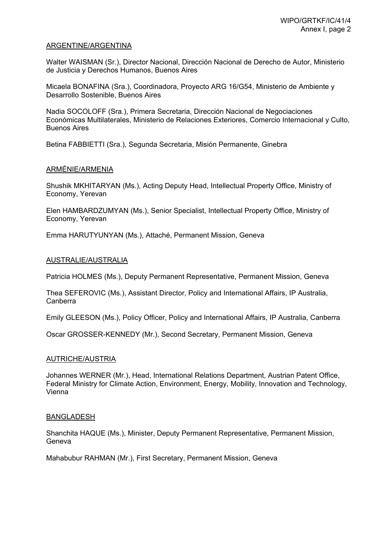#### ARGENTINE/ARGENTINA

Walter WAISMAN (Sr.), Director Nacional, Dirección Nacional de Derecho de Autor, Ministerio de Justicia y Derechos Humanos, Buenos Aires

Micaela BONAFINA (Sra.), Coordinadora, Proyecto ARG 16/G54, Ministerio de Ambiente y Desarrollo Sostenible, Buenos Aires

Nadia SOCOLOFF (Sra.), Primera Secretaria, Dirección Nacional de Negociaciones Económicas Multilaterales, Ministerio de Relaciones Exteriores, Comercio Internacional y Culto, Buenos Aires

Betina FABBIETTI (Sra.), Segunda Secretaria, Misión Permanente, Ginebra

### ARMÉNIE/ARMENIA

Shushik MKHITARYAN (Ms.), Acting Deputy Head, Intellectual Property Office, Ministry of Economy, Yerevan

Elen HAMBARDZUMYAN (Ms.), Senior Specialist, Intellectual Property Office, Ministry of Economy, Yerevan

Emma HARUTYUNYAN (Ms.), Attaché, Permanent Mission, Geneva

#### AUSTRALIE/AUSTRALIA

Patricia HOLMES (Ms.), Deputy Permanent Representative, Permanent Mission, Geneva

Thea SEFEROVIC (Ms.), Assistant Director, Policy and International Affairs, IP Australia, Canberra

Emily GLEESON (Ms.), Policy Officer, Policy and International Affairs, IP Australia, Canberra

Oscar GROSSER-KENNEDY (Mr.), Second Secretary, Permanent Mission, Geneva

#### AUTRICHE/AUSTRIA

Johannes WERNER (Mr.), Head, International Relations Department, Austrian Patent Office, Federal Ministry for Climate Action, Environment, Energy, Mobility, Innovation and Technology, Vienna

#### BANGLADESH

Shanchita HAQUE (Ms.), Minister, Deputy Permanent Representative, Permanent Mission, Geneva

Mahabubur RAHMAN (Mr.), First Secretary, Permanent Mission, Geneva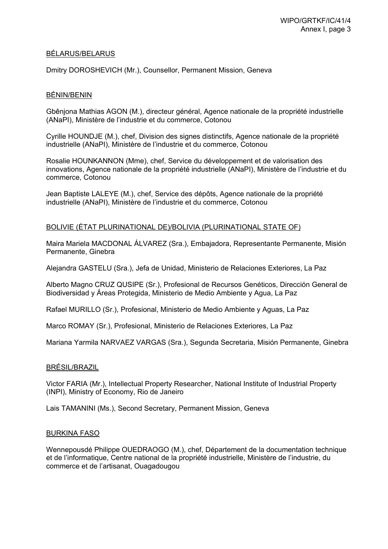### BÉLARUS/BELARUS

Dmitry DOROSHEVICH (Mr.), Counsellor, Permanent Mission, Geneva

#### BÉNIN/BENIN

Gbênjona Mathias AGON (M.), directeur général, Agence nationale de la propriété industrielle (ANaPI), Ministère de l'industrie et du commerce, Cotonou

Cyrille HOUNDJE (M.), chef, Division des signes distinctifs, Agence nationale de la propriété industrielle (ANaPI), Ministère de l'industrie et du commerce, Cotonou

Rosalie HOUNKANNON (Mme), chef, Service du développement et de valorisation des innovations, Agence nationale de la propriété industrielle (ANaPI), Ministère de l'industrie et du commerce, Cotonou

Jean Baptiste LALEYE (M.), chef, Service des dépôts, Agence nationale de la propriété industrielle (ANaPI), Ministère de l'industrie et du commerce, Cotonou

#### BOLIVIE (ÉTAT PLURINATIONAL DE)/BOLIVIA (PLURINATIONAL STATE OF)

Maira Mariela MACDONAL ÁLVAREZ (Sra.), Embajadora, Representante Permanente, Misión Permanente, Ginebra

Alejandra GASTELU (Sra.), Jefa de Unidad, Ministerio de Relaciones Exteriores, La Paz

Alberto Magno CRUZ QUSIPE (Sr.), Profesional de Recursos Genéticos, Dirección General de Biodiversidad y Áreas Protegida, Ministerio de Medio Ambiente y Agua, La Paz

Rafael MURILLO (Sr.), Profesional, Ministerio de Medio Ambiente y Aguas, La Paz

Marco ROMAY (Sr.), Profesional, Ministerio de Relaciones Exteriores, La Paz

Mariana Yarmila NARVAEZ VARGAS (Sra.), Segunda Secretaria, Misión Permanente, Ginebra

#### BRÉSIL/BRAZIL

Victor FARIA (Mr.), Intellectual Property Researcher, National Institute of Industrial Property (INPI), Ministry of Economy, Rio de Janeiro

Lais TAMANINI (Ms.), Second Secretary, Permanent Mission, Geneva

#### BURKINA FASO

Wennepousdé Philippe OUEDRAOGO (M.), chef, Département de la documentation technique et de l'informatique, Centre national de la propriété industrielle, Ministère de l'industrie, du commerce et de l'artisanat, Ouagadougou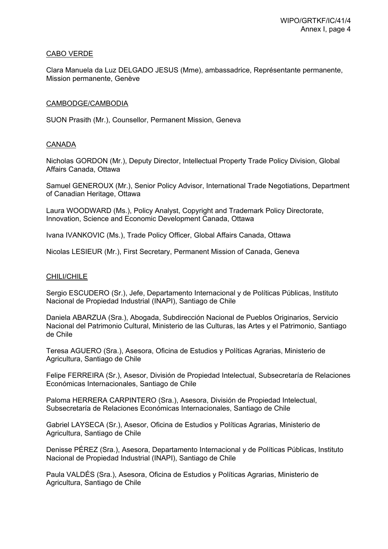### CABO VERDE

Clara Manuela da Luz DELGADO JESUS (Mme), ambassadrice, Représentante permanente, Mission permanente, Genève

### CAMBODGE/CAMBODIA

SUON Prasith (Mr.), Counsellor, Permanent Mission, Geneva

### CANADA

Nicholas GORDON (Mr.), Deputy Director, Intellectual Property Trade Policy Division, Global Affairs Canada, Ottawa

Samuel GENEROUX (Mr.), Senior Policy Advisor, International Trade Negotiations, Department of Canadian Heritage, Ottawa

Laura WOODWARD (Ms.), Policy Analyst, Copyright and Trademark Policy Directorate, Innovation, Science and Economic Development Canada, Ottawa

Ivana IVANKOVIC (Ms.), Trade Policy Officer, Global Affairs Canada, Ottawa

Nicolas LESIEUR (Mr.), First Secretary, Permanent Mission of Canada, Geneva

### CHILI/CHILE

Sergio ESCUDERO (Sr.), Jefe, Departamento Internacional y de Políticas Públicas, Instituto Nacional de Propiedad Industrial (INAPI), Santiago de Chile

Daniela ABARZUA (Sra.), Abogada, Subdirección Nacional de Pueblos Originarios, Servicio Nacional del Patrimonio Cultural, Ministerio de las Culturas, las Artes y el Patrimonio, Santiago de Chile

Teresa AGUERO (Sra.), Asesora, Oficina de Estudios y Políticas Agrarias, Ministerio de Agricultura, Santiago de Chile

Felipe FERREIRA (Sr.), Asesor, División de Propiedad Intelectual, Subsecretaría de Relaciones Económicas Internacionales, Santiago de Chile

Paloma HERRERA CARPINTERO (Sra.), Asesora, División de Propiedad Intelectual, Subsecretaría de Relaciones Económicas Internacionales, Santiago de Chile

Gabriel LAYSECA (Sr.), Asesor, Oficina de Estudios y Políticas Agrarias, Ministerio de Agricultura, Santiago de Chile

Denisse PÉREZ (Sra.), Asesora, Departamento Internacional y de Políticas Públicas, Instituto Nacional de Propiedad Industrial (INAPI), Santiago de Chile

Paula VALDÉS (Sra.), Asesora, Oficina de Estudios y Políticas Agrarias, Ministerio de Agricultura, Santiago de Chile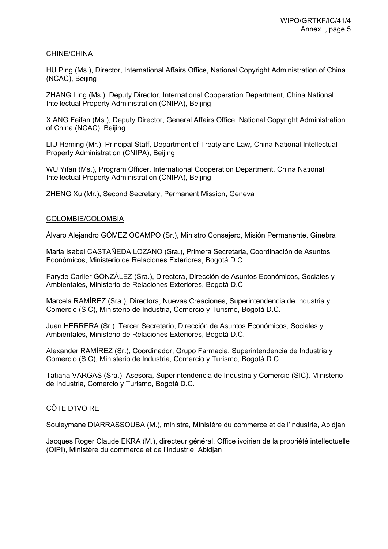#### CHINE/CHINA

HU Ping (Ms.), Director, International Affairs Office, National Copyright Administration of China (NCAC), Beijing

ZHANG Ling (Ms.), Deputy Director, International Cooperation Department, China National Intellectual Property Administration (CNIPA), Beijing

XIANG Feifan (Ms.), Deputy Director, General Affairs Office, National Copyright Administration of China (NCAC), Beijing

LIU Heming (Mr.), Principal Staff, Department of Treaty and Law, China National Intellectual Property Administration (CNIPA), Beijing

WU Yifan (Ms.), Program Officer, International Cooperation Department, China National Intellectual Property Administration (CNIPA), Beijing

ZHENG Xu (Mr.), Second Secretary, Permanent Mission, Geneva

#### COLOMBIE/COLOMBIA

Álvaro Alejandro GÓMEZ OCAMPO (Sr.), Ministro Consejero, Misión Permanente, Ginebra

Maria Isabel CASTAÑEDA LOZANO (Sra.), Primera Secretaria, Coordinación de Asuntos Económicos, Ministerio de Relaciones Exteriores, Bogotá D.C.

Faryde Carlier GONZÁLEZ (Sra.), Directora, Dirección de Asuntos Económicos, Sociales y Ambientales, Ministerio de Relaciones Exteriores, Bogotá D.C.

Marcela RAMÍREZ (Sra.), Directora, Nuevas Creaciones, Superintendencia de Industria y Comercio (SIC), Ministerio de Industria, Comercio y Turismo, Bogotá D.C.

Juan HERRERA (Sr.), Tercer Secretario, Dirección de Asuntos Económicos, Sociales y Ambientales, Ministerio de Relaciones Exteriores, Bogotá D.C.

Alexander RAMÍREZ (Sr.), Coordinador, Grupo Farmacia, Superintendencia de Industria y Comercio (SIC), Ministerio de Industria, Comercio y Turismo, Bogotá D.C.

Tatiana VARGAS (Sra.), Asesora, Superintendencia de Industria y Comercio (SIC), Ministerio de Industria, Comercio y Turismo, Bogotá D.C.

### CÔTE D'IVOIRE

Souleymane DIARRASSOUBA (M.), ministre, Ministère du commerce et de l'industrie, Abidjan

Jacques Roger Claude EKRA (M.), directeur général, Office ivoirien de la propriété intellectuelle (OIPI), Ministère du commerce et de l'industrie, Abidjan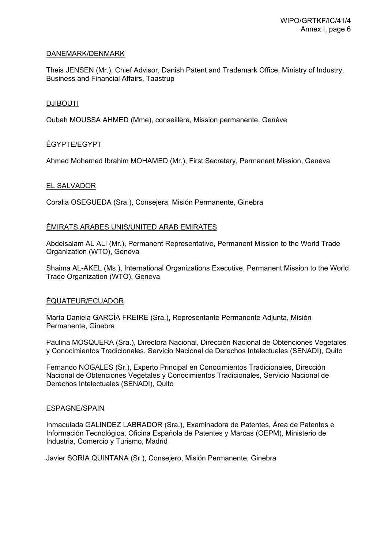### DANEMARK/DENMARK

Theis JENSEN (Mr.), Chief Advisor, Danish Patent and Trademark Office, Ministry of Industry, Business and Financial Affairs, Taastrup

#### **DJIBOUTI**

Oubah MOUSSA AHMED (Mme), conseillère, Mission permanente, Genève

### ÉGYPTE/EGYPT

Ahmed Mohamed Ibrahim MOHAMED (Mr.), First Secretary, Permanent Mission, Geneva

#### EL SALVADOR

Coralia OSEGUEDA (Sra.), Consejera, Misión Permanente, Ginebra

#### ÉMIRATS ARABES UNIS/UNITED ARAB EMIRATES

Abdelsalam AL ALI (Mr.), Permanent Representative, Permanent Mission to the World Trade Organization (WTO), Geneva

Shaima AL-AKEL (Ms.), International Organizations Executive, Permanent Mission to the World Trade Organization (WTO), Geneva

### ÉQUATEUR/ECUADOR

María Daniela GARCÍA FREIRE (Sra.), Representante Permanente Adjunta, Misión Permanente, Ginebra

Paulina MOSQUERA (Sra.), Directora Nacional, Dirección Nacional de Obtenciones Vegetales y Conocimientos Tradicionales, Servicio Nacional de Derechos Intelectuales (SENADI), Quito

Fernando NOGALES (Sr.), Experto Principal en Conocimientos Tradicionales, Dirección Nacional de Obtenciones Vegetales y Conocimientos Tradicionales, Servicio Nacional de Derechos Intelectuales (SENADI), Quito

#### ESPAGNE/SPAIN

Inmaculada GALINDEZ LABRADOR (Sra.), Examinadora de Patentes, Área de Patentes e Información Tecnológica, Oficina Española de Patentes y Marcas (OEPM), Ministerio de Industria, Comercio y Turismo, Madrid

Javier SORIA QUINTANA (Sr.), Consejero, Misión Permanente, Ginebra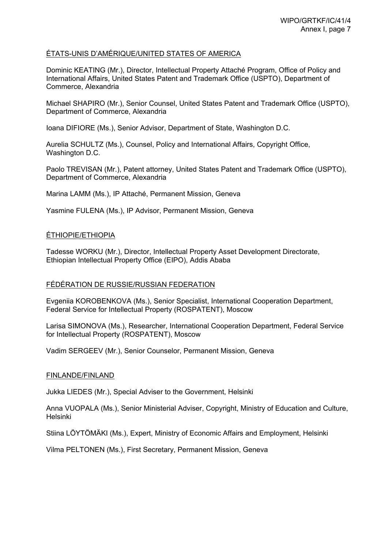### ÉTATS-UNIS D'AMÉRIQUE/UNITED STATES OF AMERICA

Dominic KEATING (Mr.), Director, Intellectual Property Attaché Program, Office of Policy and International Affairs, United States Patent and Trademark Office (USPTO), Department of Commerce, Alexandria

Michael SHAPIRO (Mr.), Senior Counsel, United States Patent and Trademark Office (USPTO), Department of Commerce, Alexandria

Ioana DIFIORE (Ms.), Senior Advisor, Department of State, Washington D.C.

Aurelia SCHULTZ (Ms.), Counsel, Policy and International Affairs, Copyright Office, Washington D.C.

Paolo TREVISAN (Mr.), Patent attorney, United States Patent and Trademark Office (USPTO), Department of Commerce, Alexandria

Marina LAMM (Ms.), IP Attaché, Permanent Mission, Geneva

Yasmine FULENA (Ms.), IP Advisor, Permanent Mission, Geneva

#### ÉTHIOPIE/ETHIOPIA

Tadesse WORKU (Mr.), Director, Intellectual Property Asset Development Directorate, Ethiopian Intellectual Property Office (EIPO), Addis Ababa

#### FÉDÉRATION DE RUSSIE/RUSSIAN FEDERATION

Evgeniia KOROBENKOVA (Ms.), Senior Specialist, International Cooperation Department, Federal Service for Intellectual Property (ROSPATENT), Moscow

Larisa SIMONOVA (Ms.), Researcher, International Cooperation Department, Federal Service for Intellectual Property (ROSPATENT), Moscow

Vadim SERGEEV (Mr.), Senior Counselor, Permanent Mission, Geneva

#### FINLANDE/FINLAND

Jukka LIEDES (Mr.), Special Adviser to the Government, Helsinki

Anna VUOPALA (Ms.), Senior Ministerial Adviser, Copyright, Ministry of Education and Culture, Helsinki

Stiina LÖYTÖMÄKI (Ms.), Expert, Ministry of Economic Affairs and Employment, Helsinki

Vilma PELTONEN (Ms.), First Secretary, Permanent Mission, Geneva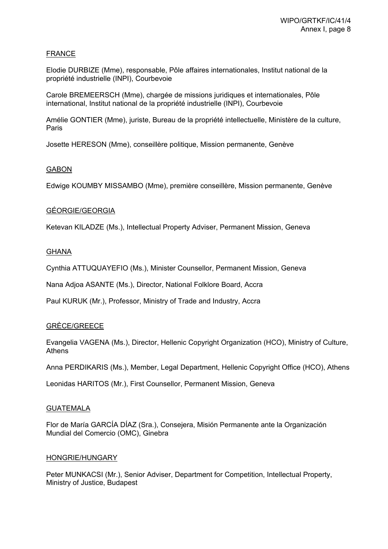### FRANCE

Elodie DURBIZE (Mme), responsable, Pôle affaires internationales, Institut national de la propriété industrielle (INPI), Courbevoie

Carole BREMEERSCH (Mme), chargée de missions juridiques et internationales, Pôle international, Institut national de la propriété industrielle (INPI), Courbevoie

Amélie GONTIER (Mme), juriste, Bureau de la propriété intellectuelle, Ministère de la culture, Paris

Josette HERESON (Mme), conseillère politique, Mission permanente, Genève

#### **GABON**

Edwige KOUMBY MISSAMBO (Mme), première conseillère, Mission permanente, Genève

#### GÉORGIE/GEORGIA

Ketevan KILADZE (Ms.), Intellectual Property Adviser, Permanent Mission, Geneva

#### **GHANA**

Cynthia ATTUQUAYEFIO (Ms.), Minister Counsellor, Permanent Mission, Geneva

Nana Adjoa ASANTE (Ms.), Director, National Folklore Board, Accra

Paul KURUK (Mr.), Professor, Ministry of Trade and Industry, Accra

### GRÈCE/GREECE

Evangelia VAGENA (Ms.), Director, Hellenic Copyright Organization (HCO), Ministry of Culture, Athens

Anna PERDIKARIS (Ms.), Member, Legal Department, Hellenic Copyright Office (HCO), Athens

Leonidas HARITOS (Mr.), First Counsellor, Permanent Mission, Geneva

#### **GUATEMALA**

Flor de María GARCÍA DÍAZ (Sra.), Consejera, Misión Permanente ante la Organización Mundial del Comercio (OMC), Ginebra

#### HONGRIE/HUNGARY

Peter MUNKACSI (Mr.), Senior Adviser, Department for Competition, Intellectual Property, Ministry of Justice, Budapest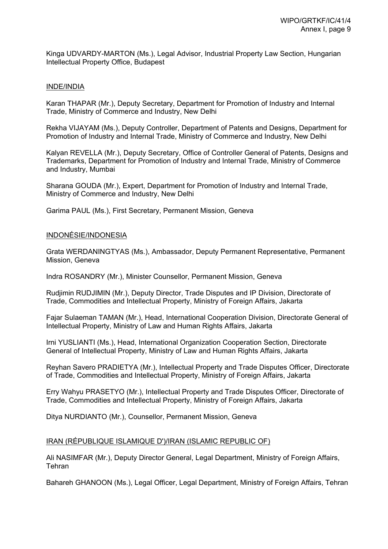Kinga UDVARDY-MARTON (Ms.), Legal Advisor, Industrial Property Law Section, Hungarian Intellectual Property Office, Budapest

#### INDE/INDIA

Karan THAPAR (Mr.), Deputy Secretary, Department for Promotion of Industry and Internal Trade, Ministry of Commerce and Industry, New Delhi

Rekha VIJAYAM (Ms.), Deputy Controller, Department of Patents and Designs, Department for Promotion of Industry and Internal Trade, Ministry of Commerce and Industry, New Delhi

Kalyan REVELLA (Mr.), Deputy Secretary, Office of Controller General of Patents, Designs and Trademarks, Department for Promotion of Industry and Internal Trade, Ministry of Commerce and Industry, Mumbai

Sharana GOUDA (Mr.), Expert, Department for Promotion of Industry and Internal Trade, Ministry of Commerce and Industry, New Delhi

Garima PAUL (Ms.), First Secretary, Permanent Mission, Geneva

#### INDONÉSIE/INDONESIA

Grata WERDANINGTYAS (Ms.), Ambassador, Deputy Permanent Representative, Permanent Mission, Geneva

Indra ROSANDRY (Mr.), Minister Counsellor, Permanent Mission, Geneva

Rudjimin RUDJIMIN (Mr.), Deputy Director, Trade Disputes and IP Division, Directorate of Trade, Commodities and Intellectual Property, Ministry of Foreign Affairs, Jakarta

Fajar Sulaeman TAMAN (Mr.), Head, International Cooperation Division, Directorate General of Intellectual Property, Ministry of Law and Human Rights Affairs, Jakarta

Irni YUSLIANTI (Ms.), Head, International Organization Cooperation Section, Directorate General of Intellectual Property, Ministry of Law and Human Rights Affairs, Jakarta

Reyhan Savero PRADIETYA (Mr.), Intellectual Property and Trade Disputes Officer, Directorate of Trade, Commodities and Intellectual Property, Ministry of Foreign Affairs, Jakarta

Erry Wahyu PRASETYO (Mr.), Intellectual Property and Trade Disputes Officer, Directorate of Trade, Commodities and Intellectual Property, Ministry of Foreign Affairs, Jakarta

Ditya NURDIANTO (Mr.), Counsellor, Permanent Mission, Geneva

#### IRAN (RÉPUBLIQUE ISLAMIQUE D')/IRAN (ISLAMIC REPUBLIC OF)

Ali NASIMFAR (Mr.), Deputy Director General, Legal Department, Ministry of Foreign Affairs, **Tehran** 

Bahareh GHANOON (Ms.), Legal Officer, Legal Department, Ministry of Foreign Affairs, Tehran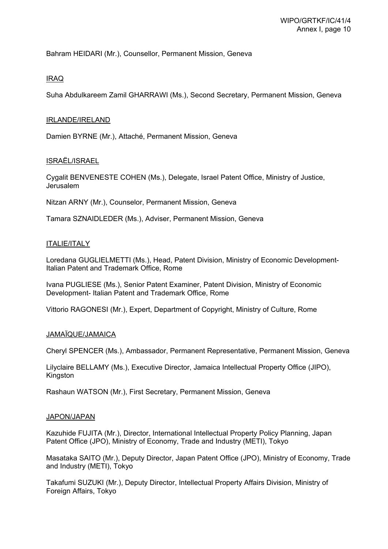Bahram HEIDARI (Mr.), Counsellor, Permanent Mission, Geneva

### IRAQ

Suha Abdulkareem Zamil GHARRAWI (Ms.), Second Secretary, Permanent Mission, Geneva

### IRLANDE/IRELAND

Damien BYRNE (Mr.), Attaché, Permanent Mission, Geneva

### ISRAËL/ISRAEL

Cygalit BENVENESTE COHEN (Ms.), Delegate, Israel Patent Office, Ministry of Justice, Jerusalem

Nitzan ARNY (Mr.), Counselor, Permanent Mission, Geneva

Tamara SZNAIDLEDER (Ms.), Adviser, Permanent Mission, Geneva

### ITALIE/ITALY

Loredana GUGLIELMETTI (Ms.), Head, Patent Division, Ministry of Economic Development-Italian Patent and Trademark Office, Rome

Ivana PUGLIESE (Ms.), Senior Patent Examiner, Patent Division, Ministry of Economic Development- Italian Patent and Trademark Office, Rome

Vittorio RAGONESI (Mr.), Expert, Department of Copyright, Ministry of Culture, Rome

### JAMAÏQUE/JAMAICA

Cheryl SPENCER (Ms.), Ambassador, Permanent Representative, Permanent Mission, Geneva

Lilyclaire BELLAMY (Ms.), Executive Director, Jamaica Intellectual Property Office (JIPO), Kingston

Rashaun WATSON (Mr.), First Secretary, Permanent Mission, Geneva

### JAPON/JAPAN

Kazuhide FUJITA (Mr.), Director, International Intellectual Property Policy Planning, Japan Patent Office (JPO), Ministry of Economy, Trade and Industry (METI), Tokyo

Masataka SAITO (Mr.), Deputy Director, Japan Patent Office (JPO), Ministry of Economy, Trade and Industry (METI), Tokyo

Takafumi SUZUKI (Mr.), Deputy Director, Intellectual Property Affairs Division, Ministry of Foreign Affairs, Tokyo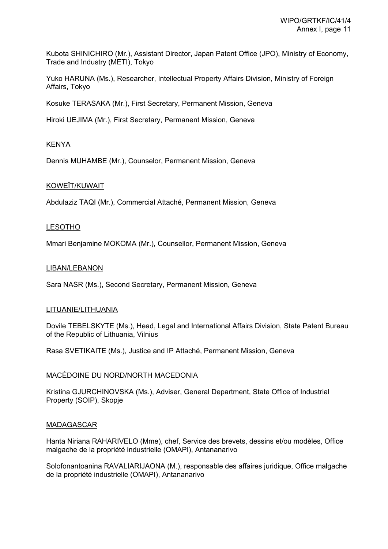Kubota SHINICHIRO (Mr.), Assistant Director, Japan Patent Office (JPO), Ministry of Economy, Trade and Industry (METI), Tokyo

Yuko HARUNA (Ms.), Researcher, Intellectual Property Affairs Division, Ministry of Foreign Affairs, Tokyo

Kosuke TERASAKA (Mr.), First Secretary, Permanent Mission, Geneva

Hiroki UEJIMA (Mr.), First Secretary, Permanent Mission, Geneva

### KENYA

Dennis MUHAMBE (Mr.), Counselor, Permanent Mission, Geneva

### KOWEÏT/KUWAIT

Abdulaziz TAQI (Mr.), Commercial Attaché, Permanent Mission, Geneva

### LESOTHO

Mmari Benjamine MOKOMA (Mr.), Counsellor, Permanent Mission, Geneva

#### LIBAN/LEBANON

Sara NASR (Ms.), Second Secretary, Permanent Mission, Geneva

#### LITUANIE/LITHUANIA

Dovile TEBELSKYTE (Ms.), Head, Legal and International Affairs Division, State Patent Bureau of the Republic of Lithuania, Vilnius

Rasa SVETIKAITE (Ms.), Justice and IP Attaché, Permanent Mission, Geneva

### MACÉDOINE DU NORD/NORTH MACEDONIA

Kristina GJURCHINOVSKA (Ms.), Adviser, General Department, State Office of Industrial Property (SOIP), Skopje

#### MADAGASCAR

Hanta Niriana RAHARIVELO (Mme), chef, Service des brevets, dessins et/ou modèles, Office malgache de la propriété industrielle (OMAPI), Antananarivo

Solofonantoanina RAVALIARIJAONA (M.), responsable des affaires juridique, Office malgache de la propriété industrielle (OMAPI), Antananarivo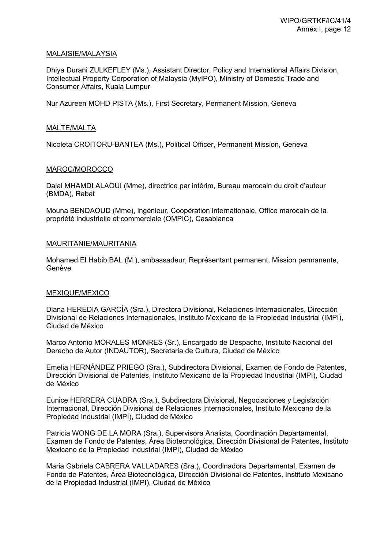#### MALAISIE/MALAYSIA

Dhiya Durani ZULKEFLEY (Ms.), Assistant Director, Policy and International Affairs Division, Intellectual Property Corporation of Malaysia (MyIPO), Ministry of Domestic Trade and Consumer Affairs, Kuala Lumpur

Nur Azureen MOHD PISTA (Ms.), First Secretary, Permanent Mission, Geneva

### MALTE/MALTA

Nicoleta CROITORU-BANTEA (Ms.), Political Officer, Permanent Mission, Geneva

#### MAROC/MOROCCO

Dalal MHAMDI ALAOUI (Mme), directrice par intérim, Bureau marocain du droit d'auteur (BMDA), Rabat

Mouna BENDAOUD (Mme), ingénieur, Coopération internationale, Office marocain de la propriété industrielle et commerciale (OMPIC), Casablanca

#### MAURITANIE/MAURITANIA

Mohamed El Habib BAL (M.), ambassadeur, Représentant permanent, Mission permanente, Genève

#### MEXIQUE/MEXICO

Diana HEREDIA GARCÍA (Sra.), Directora Divisional, Relaciones Internacionales, Dirección Divisional de Relaciones Internacionales, Instituto Mexicano de la Propiedad Industrial (IMPI), Ciudad de México

Marco Antonio MORALES MONRES (Sr.), Encargado de Despacho, Instituto Nacional del Derecho de Autor (INDAUTOR), Secretaria de Cultura, Ciudad de México

Emelia HERNÁNDEZ PRIEGO (Sra.), Subdirectora Divisional, Examen de Fondo de Patentes, Dirección Divisional de Patentes, Instituto Mexicano de la Propiedad Industrial (IMPI), Ciudad de México

Eunice HERRERA CUADRA (Sra.), Subdirectora Divisional, Negociaciones y Legislación Internacional, Dirección Divisional de Relaciones Internacionales, Instituto Mexicano de la Propiedad Industrial (IMPI), Ciudad de México

Patricia WONG DE LA MORA (Sra.), Supervisora Analista, Coordinación Departamental, Examen de Fondo de Patentes, Área Biotecnológica, Dirección Divisional de Patentes, Instituto Mexicano de la Propiedad Industrial (IMPI), Ciudad de México

Maria Gabriela CABRERA VALLADARES (Sra.), Coordinadora Departamental, Examen de Fondo de Patentes, Área Biotecnológica, Dirección Divisional de Patentes, Instituto Mexicano de la Propiedad Industrial (IMPI), Ciudad de México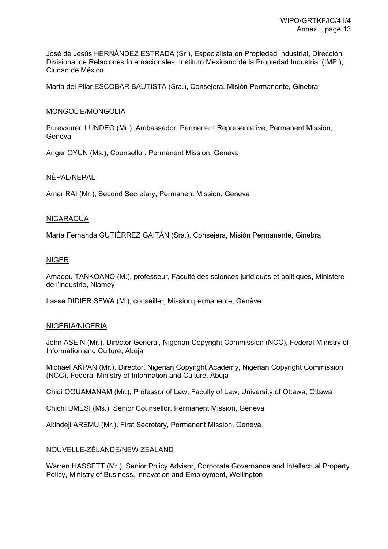José de Jesús HERNÁNDEZ ESTRADA (Sr.), Especialista en Propiedad Industrial, Dirección Divisional de Relaciones Internacionales, Instituto Mexicano de la Propiedad Industrial (IMPI), Ciudad de México

María del Pilar ESCOBAR BAUTISTA (Sra.), Consejera, Misión Permanente, Ginebra

### MONGOLIE/MONGOLIA

Purevsuren LUNDEG (Mr.), Ambassador, Permanent Representative, Permanent Mission, Geneva

Angar OYUN (Ms.), Counsellor, Permanent Mission, Geneva

#### NÉPAL/NEPAL

Amar RAI (Mr.), Second Secretary, Permanent Mission, Geneva

#### NICARAGUA

María Fernanda GUTIÉRREZ GAITÁN (Sra.), Consejera, Misión Permanente, Ginebra

#### NIGER

Amadou TANKOANO (M.), professeur, Faculté des sciences juridiques et politiques, Ministère de l'industrie, Niamey

Lasse DIDIER SEWA (M.), conseiller, Mission permanente, Genève

#### NIGÉRIA/NIGERIA

John ASEIN (Mr.), Director General, Nigerian Copyright Commission (NCC), Federal Ministry of Information and Culture, Abuja

Michael AKPAN (Mr.), Director, Nigerian Copyright Academy, Nigerian Copyright Commission (NCC), Federal Ministry of Information and Culture, Abuja

Chidi OGUAMANAM (Mr.), Professor of Law, Faculty of Law, University of Ottawa, Ottawa

Chichi UMESI (Ms.), Senior Counsellor, Permanent Mission, Geneva

Akindeij AREMU (Mr.), First Secretary, Permanent Mission, Geneva

### NOUVELLE-ZÉLANDE/NEW ZEALAND

Warren HASSETT (Mr.), Senior Policy Advisor, Corporate Governance and Intellectual Property Policy, Ministry of Business, innovation and Employment, Wellington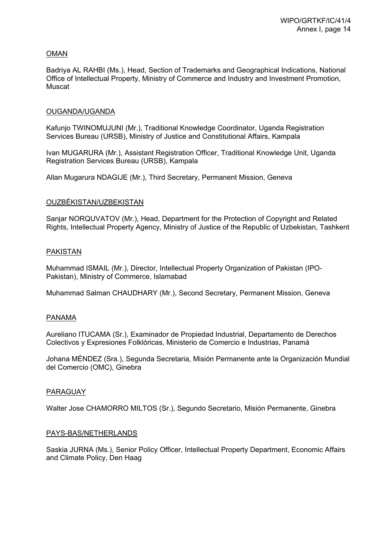### OMAN

Badriya AL RAHBI (Ms.), Head, Section of Trademarks and Geographical Indications, National Office of Intellectual Property, Ministry of Commerce and Industry and Investment Promotion, Muscat

### OUGANDA/UGANDA

Kafunjo TWINOMUJUNI (Mr.), Traditional Knowledge Coordinator, Uganda Registration Services Bureau (URSB), Ministry of Justice and Constitutional Affairs, Kampala

Ivan MUGARURA (Mr.), Assistant Registration Officer, Traditional Knowledge Unit, Uganda Registration Services Bureau (URSB), Kampala

Allan Mugarura NDAGIJE (Mr.), Third Secretary, Permanent Mission, Geneva

#### OUZBÉKISTAN/UZBEKISTAN

Sanjar NORQUVATOV (Mr.), Head, Department for the Protection of Copyright and Related Rights, Intellectual Property Agency, Ministry of Justice of the Republic of Uzbekistan, Tashkent

#### PAKISTAN

Muhammad ISMAIL (Mr.), Director, Intellectual Property Organization of Pakistan (IPO-Pakistan), Ministry of Commerce, Islamabad

Muhammad Salman CHAUDHARY (Mr.), Second Secretary, Permanent Mission, Geneva

#### PANAMA

Aureliano ITUCAMA (Sr.), Examinador de Propiedad Industrial, Departamento de Derechos Colectivos y Expresiones Folklóricas, Ministerio de Comercio e Industrias, Panamá

Johana MÉNDEZ (Sra.), Segunda Secretaria, Misión Permanente ante la Organización Mundial del Comercio (OMC), Ginebra

### PARAGUAY

Walter Jose CHAMORRO MILTOS (Sr.), Segundo Secretario, Misión Permanente, Ginebra

#### PAYS-BAS/NETHERLANDS

Saskia JURNA (Ms.), Senior Policy Officer, Intellectual Property Department, Economic Affairs and Climate Policy, Den Haag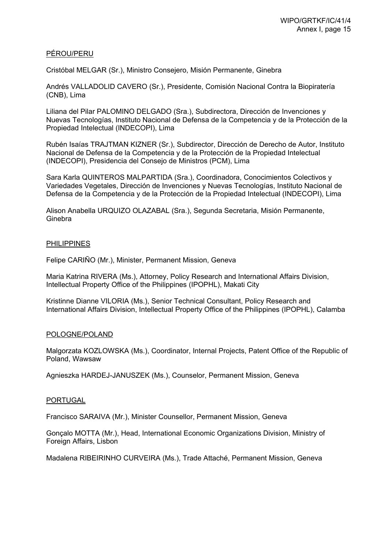### PÉROU/PERU

Cristóbal MELGAR (Sr.), Ministro Consejero, Misión Permanente, Ginebra

Andrés VALLADOLID CAVERO (Sr.), Presidente, Comisión Nacional Contra la Biopiratería (CNB), Lima

Liliana del Pilar PALOMINO DELGADO (Sra.), Subdirectora, Dirección de Invenciones y Nuevas Tecnologías, Instituto Nacional de Defensa de la Competencia y de la Protección de la Propiedad Intelectual (INDECOPI), Lima

Rubén Isaías TRAJTMAN KIZNER (Sr.), Subdirector, Dirección de Derecho de Autor, Instituto Nacional de Defensa de la Competencia y de la Protección de la Propiedad Intelectual (INDECOPI), Presidencia del Consejo de Ministros (PCM), Lima

Sara Karla QUINTEROS MALPARTIDA (Sra.), Coordinadora, Conocimientos Colectivos y Variedades Vegetales, Dirección de Invenciones y Nuevas Tecnologías, Instituto Nacional de Defensa de la Competencia y de la Protección de la Propiedad Intelectual (INDECOPI), Lima

Alison Anabella URQUIZO OLAZABAL (Sra.), Segunda Secretaria, Misión Permanente, **Ginebra** 

#### PHILIPPINES

Felipe CARIÑO (Mr.), Minister, Permanent Mission, Geneva

Maria Katrina RIVERA (Ms.), Attorney, Policy Research and International Affairs Division, Intellectual Property Office of the Philippines (IPOPHL), Makati City

Kristinne Dianne VILORIA (Ms.), Senior Technical Consultant, Policy Research and International Affairs Division, Intellectual Property Office of the Philippines (IPOPHL), Calamba

#### POLOGNE/POLAND

Malgorzata KOZLOWSKA (Ms.), Coordinator, Internal Projects, Patent Office of the Republic of Poland, Wawsaw

Agnieszka HARDEJ-JANUSZEK (Ms.), Counselor, Permanent Mission, Geneva

#### PORTUGAL

Francisco SARAIVA (Mr.), Minister Counsellor, Permanent Mission, Geneva

Gonçalo MOTTA (Mr.), Head, International Economic Organizations Division, Ministry of Foreign Affairs, Lisbon

Madalena RIBEIRINHO CURVEIRA (Ms.), Trade Attaché, Permanent Mission, Geneva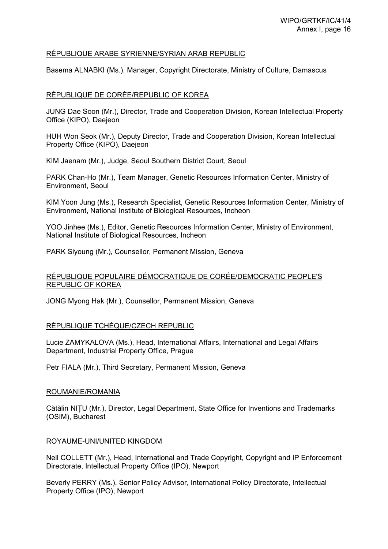### RÉPUBLIQUE ARABE SYRIENNE/SYRIAN ARAB REPUBLIC

Basema ALNABKI (Ms.), Manager, Copyright Directorate, Ministry of Culture, Damascus

### RÉPUBLIQUE DE CORÉE/REPUBLIC OF KOREA

JUNG Dae Soon (Mr.), Director, Trade and Cooperation Division, Korean Intellectual Property Office (KIPO), Daejeon

HUH Won Seok (Mr.), Deputy Director, Trade and Cooperation Division, Korean Intellectual Property Office (KIPO), Daejeon

KIM Jaenam (Mr.), Judge, Seoul Southern District Court, Seoul

PARK Chan-Ho (Mr.), Team Manager, Genetic Resources Information Center, Ministry of Environment, Seoul

KIM Yoon Jung (Ms.), Research Specialist, Genetic Resources Information Center, Ministry of Environment, National Institute of Biological Resources, Incheon

YOO Jinhee (Ms.), Editor, Genetic Resources Information Center, Ministry of Environment, National Institute of Biological Resources, Incheon

PARK Siyoung (Mr.), Counsellor, Permanent Mission, Geneva

### RÉPUBLIQUE POPULAIRE DÉMOCRATIQUE DE CORÉE/DEMOCRATIC PEOPLE'S REPUBLIC OF KOREA

JONG Myong Hak (Mr.), Counsellor, Permanent Mission, Geneva

### RÉPUBLIQUE TCHÈQUE/CZECH REPUBLIC

Lucie ZAMYKALOVA (Ms.), Head, International Affairs, International and Legal Affairs Department, Industrial Property Office, Prague

Petr FIALA (Mr.), Third Secretary, Permanent Mission, Geneva

#### ROUMANIE/ROMANIA

Cătălin NIȚU (Mr.), Director, Legal Department, State Office for Inventions and Trademarks (OSIM), Bucharest

#### ROYAUME-UNI/UNITED KINGDOM

Neil COLLETT (Mr.), Head, International and Trade Copyright, Copyright and IP Enforcement Directorate, Intellectual Property Office (IPO), Newport

Beverly PERRY (Ms.), Senior Policy Advisor, International Policy Directorate, Intellectual Property Office (IPO), Newport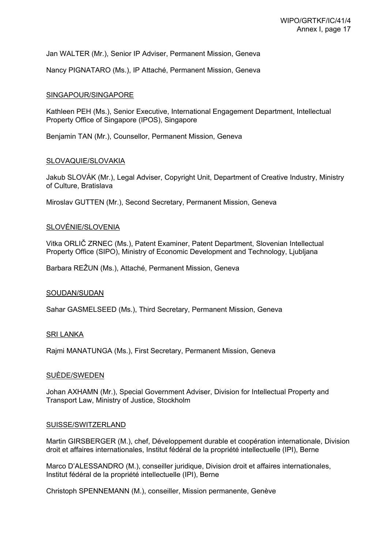Jan WALTER (Mr.), Senior IP Adviser, Permanent Mission, Geneva

Nancy PIGNATARO (Ms.), IP Attaché, Permanent Mission, Geneva

#### SINGAPOUR/SINGAPORE

Kathleen PEH (Ms.), Senior Executive, International Engagement Department, Intellectual Property Office of Singapore (IPOS), Singapore

Benjamin TAN (Mr.), Counsellor, Permanent Mission, Geneva

#### SLOVAQUIE/SLOVAKIA

Jakub SLOVÁK (Mr.), Legal Adviser, Copyright Unit, Department of Creative Industry, Ministry of Culture, Bratislava

Miroslav GUTTEN (Mr.), Second Secretary, Permanent Mission, Geneva

### SLOVÉNIE/SLOVENIA

Vitka ORLIČ ZRNEC (Ms.), Patent Examiner, Patent Department, Slovenian Intellectual Property Office (SIPO), Ministry of Economic Development and Technology, Ljubljana

Barbara REŽUN (Ms.), Attaché, Permanent Mission, Geneva

#### SOUDAN/SUDAN

Sahar GASMELSEED (Ms.), Third Secretary, Permanent Mission, Geneva

#### SRI LANKA

Rajmi MANATUNGA (Ms.), First Secretary, Permanent Mission, Geneva

#### SUÈDE/SWEDEN

Johan AXHAMN (Mr.), Special Government Adviser, Division for Intellectual Property and Transport Law, Ministry of Justice, Stockholm

#### SUISSE/SWITZERLAND

Martin GIRSBERGER (M.), chef, Développement durable et coopération internationale, Division droit et affaires internationales, Institut fédéral de la propriété intellectuelle (IPI), Berne

Marco D'ALESSANDRO (M.), conseiller juridique, Division droit et affaires internationales, Institut fédéral de la propriété intellectuelle (IPI), Berne

Christoph SPENNEMANN (M.), conseiller, Mission permanente, Genève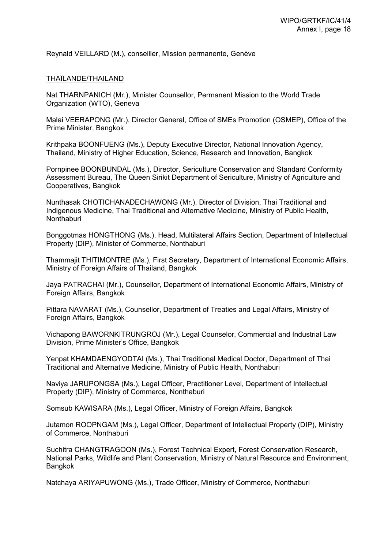Reynald VEILLARD (M.), conseiller, Mission permanente, Genève

#### THAÏLANDE/THAILAND

Nat THARNPANICH (Mr.), Minister Counsellor, Permanent Mission to the World Trade Organization (WTO), Geneva

Malai VEERAPONG (Mr.), Director General, Office of SMEs Promotion (OSMEP), Office of the Prime Minister, Bangkok

Krithpaka BOONFUENG (Ms.), Deputy Executive Director, National Innovation Agency, Thailand, Ministry of Higher Education, Science, Research and Innovation, Bangkok

Pornpinee BOONBUNDAL (Ms.), Director, Sericulture Conservation and Standard Conformity Assessment Bureau, The Queen Sirikit Department of Sericulture, Ministry of Agriculture and Cooperatives, Bangkok

Nunthasak CHOTICHANADECHAWONG (Mr.), Director of Division, Thai Traditional and Indigenous Medicine, Thai Traditional and Alternative Medicine, Ministry of Public Health, **Nonthaburi** 

Bonggotmas HONGTHONG (Ms.), Head, Multilateral Affairs Section, Department of Intellectual Property (DIP), Minister of Commerce, Nonthaburi

Thammajit THITIMONTRE (Ms.), First Secretary, Department of International Economic Affairs, Ministry of Foreign Affairs of Thailand, Bangkok

Jaya PATRACHAI (Mr.), Counsellor, Department of International Economic Affairs, Ministry of Foreign Affairs, Bangkok

Pittara NAVARAT (Ms.), Counsellor, Department of Treaties and Legal Affairs, Ministry of Foreign Affairs, Bangkok

Vichapong BAWORNKITRUNGROJ (Mr.), Legal Counselor, Commercial and Industrial Law Division, Prime Minister's Office, Bangkok

Yenpat KHAMDAENGYODTAI (Ms.), Thai Traditional Medical Doctor, Department of Thai Traditional and Alternative Medicine, Ministry of Public Health, Nonthaburi

Naviya JARUPONGSA (Ms.), Legal Officer, Practitioner Level, Department of Intellectual Property (DIP), Ministry of Commerce, Nonthaburi

Somsub KAWISARA (Ms.), Legal Officer, Ministry of Foreign Affairs, Bangkok

Jutamon ROOPNGAM (Ms.), Legal Officer, Department of Intellectual Property (DIP), Ministry of Commerce, Nonthaburi

Suchitra CHANGTRAGOON (Ms.), Forest Technical Expert, Forest Conservation Research, National Parks, Wildlife and Plant Conservation, Ministry of Natural Resource and Environment, Bangkok

Natchaya ARIYAPUWONG (Ms.), Trade Officer, Ministry of Commerce, Nonthaburi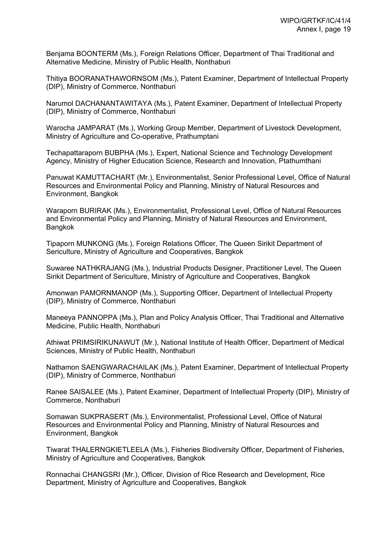Benjama BOONTERM (Ms.), Foreign Relations Officer, Department of Thai Traditional and Alternative Medicine, Ministry of Public Health, Nonthaburi

Thitiya BOORANATHAWORNSOM (Ms.), Patent Examiner, Department of Intellectual Property (DIP), Ministry of Commerce, Nonthaburi

Narumol DACHANANTAWITAYA (Ms.), Patent Examiner, Department of Intellectual Property (DIP), Ministry of Commerce, Nonthaburi

Warocha JAMPARAT (Ms.), Working Group Member, Department of Livestock Development, Ministry of Agriculture and Co-operative, Prathumptani

Techapattaraporn BUBPHA (Ms.), Expert, National Science and Technology Development Agency, Ministry of Higher Education Science, Research and Innovation, Ptathumthani

Panuwat KAMUTTACHART (Mr.), Environmentalist, Senior Professional Level, Office of Natural Resources and Environmental Policy and Planning, Ministry of Natural Resources and Environment, Bangkok

Waraporn BURIRAK (Ms.), Environmentalist, Professional Level, Office of Natural Resources and Environmental Policy and Planning, Ministry of Natural Resources and Environment, **Bangkok** 

Tipaporn MUNKONG (Ms.), Foreign Relations Officer, The Queen Sirikit Department of Sericulture, Ministry of Agriculture and Cooperatives, Bangkok

Suwaree NATHKRAJANG (Ms.), Industrial Products Designer, Practitioner Level, The Queen Sirikit Department of Sericulture, Ministry of Agriculture and Cooperatives, Bangkok

Amonwan PAMORNMANOP (Ms.), Supporting Officer, Department of Intellectual Property (DIP), Ministry of Commerce, Nonthaburi

Maneeya PANNOPPA (Ms.), Plan and Policy Analysis Officer, Thai Traditional and Alternative Medicine, Public Health, Nonthaburi

Athiwat PRIMSIRIKUNAWUT (Mr.), National Institute of Health Officer, Department of Medical Sciences, Ministry of Public Health, Nonthaburi

Nathamon SAENGWARACHAILAK (Ms.), Patent Examiner, Department of Intellectual Property (DIP), Ministry of Commerce, Nonthaburi

Ranee SAISALEE (Ms.), Patent Examiner, Department of Intellectual Property (DIP), Ministry of Commerce, Nonthaburi

Somawan SUKPRASERT (Ms.), Environmentalist, Professional Level, Office of Natural Resources and Environmental Policy and Planning, Ministry of Natural Resources and Environment, Bangkok

Tiwarat THALERNGKIETLEELA (Ms.), Fisheries Biodiversity Officer, Department of Fisheries, Ministry of Agriculture and Cooperatives, Bangkok

Ronnachai CHANGSRI (Mr.), Officer, Division of Rice Research and Development, Rice Department, Ministry of Agriculture and Cooperatives, Bangkok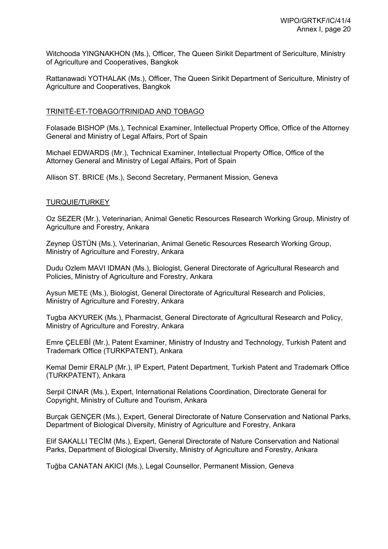Witchooda YINGNAKHON (Ms.), Officer, The Queen Sirikit Department of Sericulture, Ministry of Agriculture and Cooperatives, Bangkok

Rattanawadi YOTHALAK (Ms.), Officer, The Queen Sirikit Department of Sericulture, Ministry of Agriculture and Cooperatives, Bangkok

### TRINITÉ-ET-TOBAGO/TRINIDAD AND TOBAGO

Folasade BISHOP (Ms.), Technical Examiner, Intellectual Property Office, Office of the Attorney General and Ministry of Legal Affairs, Port of Spain

Michael EDWARDS (Mr.), Technical Examiner, Intellectual Property Office, Office of the Attorney General and Ministry of Legal Affairs, Port of Spain

Allison ST. BRICE (Ms.), Second Secretary, Permanent Mission, Geneva

#### TURQUIE/TURKEY

Oz SEZER (Mr.), Veterinarian, Animal Genetic Resources Research Working Group, Ministry of Agriculture and Forestry, Ankara

Zeynep ÜSTÜN (Ms.), Veterinarian, Animal Genetic Resources Research Working Group, Ministry of Agriculture and Forestry, Ankara

Dudu Ozlem MAVI IDMAN (Ms.), Biologist, General Directorate of Agricultural Research and Policies, Ministry of Agriculture and Forestry, Ankara

Aysun METE (Ms.), Biologist, General Directorate of Agricultural Research and Policies, Ministry of Agriculture and Forestry, Ankara

Tugba AKYUREK (Ms.), Pharmacist, General Directorate of Agricultural Research and Policy, Ministry of Agriculture and Forestry, Ankara

Emre ÇELEBİ (Mr.), Patent Examiner, Ministry of Industry and Technology, Turkish Patent and Trademark Office (TURKPATENT), Ankara

Kemal Demir ERALP (Mr.), IP Expert, Patent Department, Turkish Patent and Trademark Office (TURKPATENT), Ankara

Serpil CINAR (Ms.), Expert, International Relations Coordination, Directorate General for Copyright, Ministry of Culture and Tourism, Ankara

Burçak GENÇER (Ms.), Expert, General Directorate of Nature Conservation and National Parks, Department of Biological Diversity, Ministry of Agriculture and Forestry, Ankara

Elif SAKALLI TECİM (Ms.), Expert, General Directorate of Nature Conservation and National Parks, Department of Biological Diversity, Ministry of Agriculture and Forestry, Ankara

Tuğba CANATAN AKICI (Ms.), Legal Counsellor, Permanent Mission, Geneva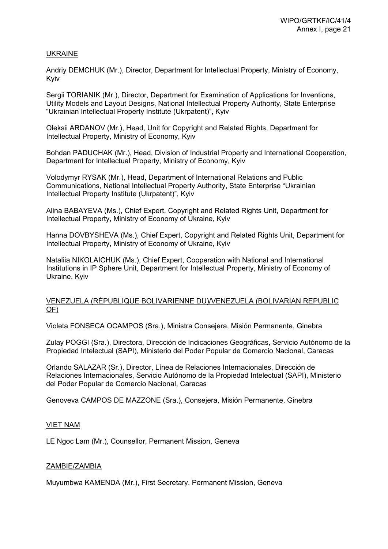### UKRAINE

Andriy DEMCHUK (Mr.), Director, Department for Intellectual Property, Ministry of Economy, Kyiv

Sergii TORIANIK (Mr.), Director, Department for Examination of Applications for Inventions, Utility Models and Layout Designs, National Intellectual Property Authority, State Enterprise "Ukrainian Intellectual Property Institute (Ukrpatent)", Kyiv

Oleksii ARDANOV (Mr.), Head, Unit for Copyright and Related Rights, Department for Intellectual Property, Ministry of Economy, Kyiv

Bohdan PADUCHAK (Mr.), Head, Division of Industrial Property and International Cooperation, Department for Intellectual Property, Ministry of Economy, Kyiv

Volodymyr RYSAK (Mr.), Head, Department of International Relations and Public Communications, National Intellectual Property Authority, State Enterprise "Ukrainian Intellectual Property Institute (Ukrpatent)", Kyiv

Alina BABAYEVA (Ms.), Chief Expert, Copyright and Related Rights Unit, Department for Intellectual Property, Ministry of Economy of Ukraine, Kyiv

Hanna DOVBYSHEVA (Ms.), Chief Expert, Copyright and Related Rights Unit, Department for Intellectual Property, Ministry of Economy of Ukraine, Kyiv

Nataliia NIKOLAICHUK (Ms.), Chief Expert, Cooperation with National and International Institutions in IP Sphere Unit, Department for Intellectual Property, Ministry of Economy of Ukraine, Kyiv

#### VENEZUELA (RÉPUBLIQUE BOLIVARIENNE DU)/VENEZUELA (BOLIVARIAN REPUBLIC OF)

Violeta FONSECA OCAMPOS (Sra.), Ministra Consejera, Misión Permanente, Ginebra

Zulay POGGI (Sra.), Directora, Dirección de Indicaciones Geográficas, Servicio Autónomo de la Propiedad Intelectual (SAPI), Ministerio del Poder Popular de Comercio Nacional, Caracas

Orlando SALAZAR (Sr.), Director, Línea de Relaciones Internacionales, Dirección de Relaciones Internacionales, Servicio Autónomo de la Propiedad Intelectual (SAPI), Ministerio del Poder Popular de Comercio Nacional, Caracas

Genoveva CAMPOS DE MAZZONE (Sra.), Consejera, Misión Permanente, Ginebra

### VIET NAM

LE Ngoc Lam (Mr.), Counsellor, Permanent Mission, Geneva

### ZAMBIE/ZAMBIA

Muyumbwa KAMENDA (Mr.), First Secretary, Permanent Mission, Geneva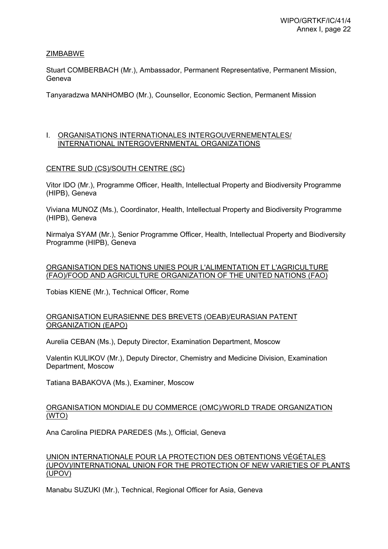### ZIMBABWE

Stuart COMBERBACH (Mr.), Ambassador, Permanent Representative, Permanent Mission, Geneva

Tanyaradzwa MANHOMBO (Mr.), Counsellor, Economic Section, Permanent Mission

#### I. ORGANISATIONS INTERNATIONALES INTERGOUVERNEMENTALES/ INTERNATIONAL INTERGOVERNMENTAL ORGANIZATIONS

### CENTRE SUD (CS)/SOUTH CENTRE (SC)

Vitor IDO (Mr.), Programme Officer, Health, Intellectual Property and Biodiversity Programme (HIPB), Geneva

Viviana MUNOZ (Ms.), Coordinator, Health, Intellectual Property and Biodiversity Programme (HIPB), Geneva

Nirmalya SYAM (Mr.), Senior Programme Officer, Health, Intellectual Property and Biodiversity Programme (HIPB), Geneva

### ORGANISATION DES NATIONS UNIES POUR L'ALIMENTATION ET L'AGRICULTURE (FAO)/FOOD AND AGRICULTURE ORGANIZATION OF THE UNITED NATIONS (FAO)

Tobias KIENE (Mr.), Technical Officer, Rome

### ORGANISATION EURASIENNE DES BREVETS (OEAB)/EURASIAN PATENT ORGANIZATION (EAPO)

Aurelia CEBAN (Ms.), Deputy Director, Examination Department, Moscow

Valentin KULIKOV (Mr.), Deputy Director, Chemistry and Medicine Division, Examination Department, Moscow

Tatiana BABAKOVA (Ms.), Examiner, Moscow

### ORGANISATION MONDIALE DU COMMERCE (OMC)/WORLD TRADE ORGANIZATION (WTO)

Ana Carolina PIEDRA PAREDES (Ms.), Official, Geneva

### UNION INTERNATIONALE POUR LA PROTECTION DES OBTENTIONS VÉGÉTALES (UPOV)/INTERNATIONAL UNION FOR THE PROTECTION OF NEW VARIETIES OF PLANTS (UPOV)

Manabu SUZUKI (Mr.), Technical, Regional Officer for Asia, Geneva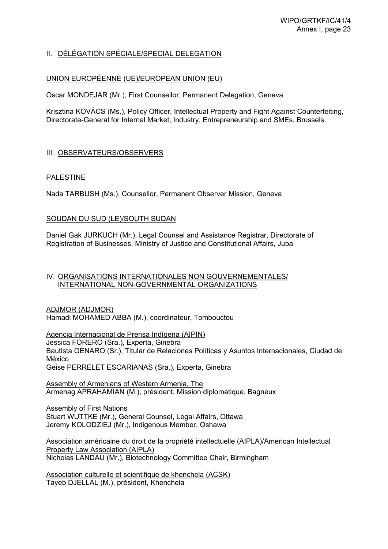# II. DÉLÉGATION SPÉCIALE/SPECIAL DELEGATION

### UNION EUROPÉENNE (UE)/EUROPEAN UNION (EU)

Oscar MONDEJAR (Mr.), First Counsellor, Permanent Delegation, Geneva

Krisztina KOVÁCS (Ms.), Policy Officer, Intellectual Property and Fight Against Counterfeiting, Directorate-General for Internal Market, Industry, Entrepreneurship and SMEs, Brussels

### III. OBSERVATEURS/OBSERVERS

### PALESTINE

Nada TARBUSH (Ms.), Counsellor, Permanent Observer Mission, Geneva

### SOUDAN DU SUD (LE)/SOUTH SUDAN

Daniel Gak JURKUCH (Mr.), Legal Counsel and Assistance Registrar, Directorate of Registration of Businesses, Ministry of Justice and Constitutional Affairs, Juba

### IV. ORGANISATIONS INTERNATIONALES NON GOUVERNEMENTALES/ INTERNATIONAL NON-GOVERNMENTAL ORGANIZATIONS

ADJMOR (ADJMOR) Hamadi MOHAMED ABBA (M.), coordinateur, Tombouctou

Agencia Internacional de Prensa Indígena (AIPIN) Jessica FORERO (Sra.), Experta, Ginebra Bautista GENARO (Sr.), Titular de Relaciones Políticas y Asuntos Internacionales, Ciudad de México Geise PERRELET ESCARIANAS (Sra.), Experta, Ginebra

Assembly of Armenians of Western Armenia, The Armenag APRAHAMIAN (M.), président, Mission diplomatique, Bagneux

Assembly of First Nations Stuart WUTTKE (Mr.), General Counsel, Legal Affairs, Ottawa Jeremy KOLODZIEJ (Mr.), Indigenous Member, Oshawa

Association américaine du droit de la propriété intellectuelle (AIPLA)/American Intellectual Property Law Association (AIPLA) Nicholas LANDAU (Mr.), Biotechnology Committee Chair, Birmingham

Association culturelle et scientifique de khenchela (ACSK) Tayeb DJELLAL (M.), président, Khenchela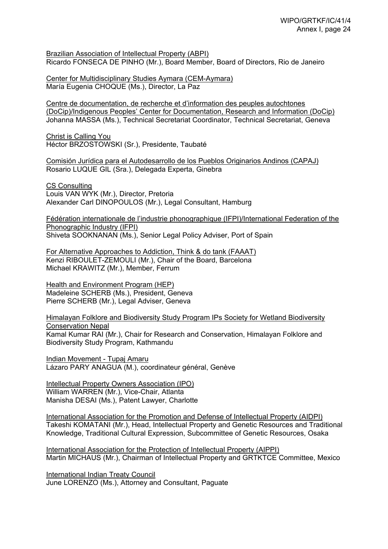Brazilian Association of Intellectual Property (ABPI) Ricardo FONSECA DE PINHO (Mr.), Board Member, Board of Directors, Rio de Janeiro

Center for Multidisciplinary Studies Aymara (CEM-Aymara) María Eugenia CHOQUE (Ms.), Director, La Paz

Centre de documentation, de recherche et d'information des peuples autochtones (DoCip)/Indigenous Peoples' Center for Documentation, Research and Information (DoCip) Johanna MASSA (Ms.), Technical Secretariat Coordinator, Technical Secretariat, Geneva

Christ is Calling You Héctor BRZOSTOWSKI (Sr.), Presidente, Taubaté

Comisión Jurídica para el Autodesarrollo de los Pueblos Originarios Andinos (CAPAJ) Rosario LUQUE GIL (Sra.), Delegada Experta, Ginebra

CS Consulting Louis VAN WYK (Mr.), Director, Pretoria Alexander Carl DINOPOULOS (Mr.), Legal Consultant, Hamburg

Fédération internationale de l'industrie phonographique (IFPI)/International Federation of the Phonographic Industry (IFPI) Shiveta SOOKNANAN (Ms.), Senior Legal Policy Adviser, Port of Spain

For Alternative Approaches to Addiction, Think & do tank (FAAAT) Kenzi RIBOULET-ZEMOULI (Mr.), Chair of the Board, Barcelona Michael KRAWITZ (Mr.), Member, Ferrum

Health and Environment Program (HEP) Madeleine SCHERB (Ms.), President, Geneva Pierre SCHERB (Mr.), Legal Adviser, Geneva

Himalayan Folklore and Biodiversity Study Program IPs Society for Wetland Biodiversity Conservation Nepal Kamal Kumar RAI (Mr.), Chair for Research and Conservation, Himalayan Folklore and Biodiversity Study Program, Kathmandu

Indian Movement - Tupaj Amaru Lázaro PARY ANAGUA (M.), coordinateur général, Genève

Intellectual Property Owners Association (IPO) William WARREN (Mr.), Vice-Chair, Atlanta Manisha DESAI (Ms.), Patent Lawyer, Charlotte

International Association for the Promotion and Defense of Intellectual Property (AIDPI) Takeshi KOMATANI (Mr.), Head, Intellectual Property and Genetic Resources and Traditional Knowledge, Traditional Cultural Expression, Subcommittee of Genetic Resources, Osaka

International Association for the Protection of Intellectual Property (AIPPI) Martin MICHAUS (Mr.), Chairman of Intellectual Property and GRTKTCE Committee, Mexico

International Indian Treaty Council June LORENZO (Ms.), Attorney and Consultant, Paguate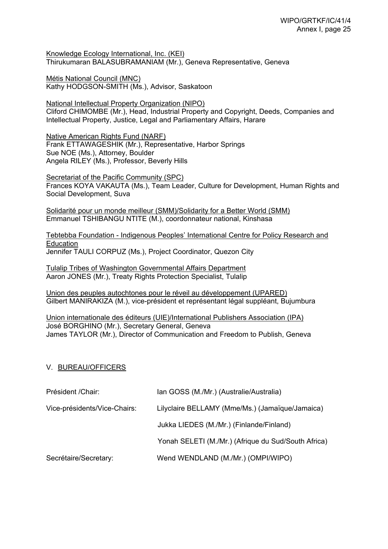Knowledge Ecology International, Inc. (KEI) Thirukumaran BALASUBRAMANIAM (Mr.), Geneva Representative, Geneva

Métis National Council (MNC) Kathy HODGSON-SMITH (Ms.), Advisor, Saskatoon

National Intellectual Property Organization (NIPO) Cliford CHIMOMBE (Mr.), Head, Industrial Property and Copyright, Deeds, Companies and Intellectual Property, Justice, Legal and Parliamentary Affairs, Harare

Native American Rights Fund (NARF) Frank ETTAWAGESHIK (Mr.), Representative, Harbor Springs Sue NOE (Ms.), Attorney, Boulder Angela RILEY (Ms.), Professor, Beverly Hills

Secretariat of the Pacific Community (SPC) Frances KOYA VAKAUTA (Ms.), Team Leader, Culture for Development, Human Rights and Social Development, Suva

Solidarité pour un monde meilleur (SMM)/Solidarity for a Better World (SMM) Emmanuel TSHIBANGU NTITE (M.), coordonnateur national, Kinshasa

Tebtebba Foundation - Indigenous Peoples' International Centre for Policy Research and Education Jennifer TAULI CORPUZ (Ms.), Project Coordinator, Quezon City

Tulalip Tribes of Washington Governmental Affairs Department Aaron JONES (Mr.), Treaty Rights Protection Specialist, Tulalip

Union des peuples autochtones pour le réveil au développement (UPARED) Gilbert MANIRAKIZA (M.), vice-président et représentant légal suppléant, Bujumbura

Union internationale des éditeurs (UIE)/International Publishers Association (IPA) José BORGHINO (Mr.), Secretary General, Geneva James TAYLOR (Mr.), Director of Communication and Freedom to Publish, Geneva

### V. BUREAU/OFFICERS

| Président / Chair:           | Ian GOSS (M./Mr.) (Australie/Australia)             |
|------------------------------|-----------------------------------------------------|
| Vice-présidents/Vice-Chairs: | Lilyclaire BELLAMY (Mme/Ms.) (Jamaïque/Jamaica)     |
|                              | Jukka LIEDES (M./Mr.) (Finlande/Finland)            |
|                              | Yonah SELETI (M./Mr.) (Afrique du Sud/South Africa) |
| Secrétaire/Secretary:        | Wend WENDLAND (M./Mr.) (OMPI/WIPO)                  |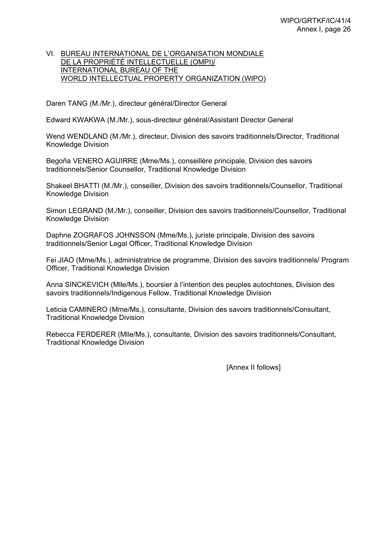### VI. BUREAU INTERNATIONAL DE L'ORGANISATION MONDIALE DE LA PROPRIÉTÉ INTELLECTUELLE (OMPI)/ INTERNATIONAL BUREAU OF THE WORLD INTELLECTUAL PROPERTY ORGANIZATION (WIPO)

Daren TANG (M./Mr.), directeur général/Director General

Edward KWAKWA (M./Mr.), sous-directeur général/Assistant Director General

Wend WENDLAND (M./Mr.), directeur, Division des savoirs traditionnels/Director, Traditional Knowledge Division

Begoña VENERO AGUIRRE (Mme/Ms.), conseillère principale, Division des savoirs traditionnels/Senior Counsellor, Traditional Knowledge Division

Shakeel BHATTI (M./Mr.), conseiller, Division des savoirs traditionnels/Counsellor, Traditional Knowledge Division

Simon LEGRAND (M./Mr.), conseiller, Division des savoirs traditionnels/Counsellor, Traditional Knowledge Division

Daphne ZOGRAFOS JOHNSSON (Mme/Ms.), juriste principale, Division des savoirs traditionnels/Senior Legal Officer, Traditional Knowledge Division

Fei JIAO (Mme/Ms.), administratrice de programme, Division des savoirs traditionnels/ Program Officer, Traditional Knowledge Division

Anna SINCKEVICH (Mlle/Ms.), boursier à l'intention des peuples autochtones, Division des savoirs traditionnels/Indigenous Fellow, Traditional Knowledge Division

Leticia CAMINERO (Mme/Ms.), consultante, Division des savoirs traditionnels/Consultant, Traditional Knowledge Division

Rebecca FERDERER (Mlle/Ms.), consultante, Division des savoirs traditionnels/Consultant, Traditional Knowledge Division

[Annex II follows]